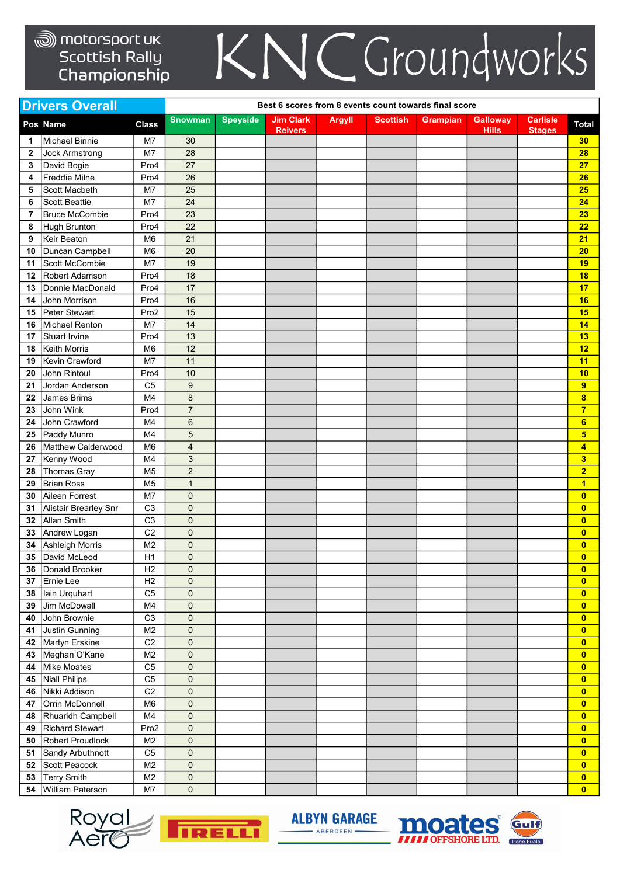## KNCGroundworks

|                | <b>Drivers Overall</b> |                |                |                 | Best 6 scores from 8 events count towards final score |               |                 |          |                 |                 |                         |
|----------------|------------------------|----------------|----------------|-----------------|-------------------------------------------------------|---------------|-----------------|----------|-----------------|-----------------|-------------------------|
|                | Pos Name               | <b>Class</b>   | <b>Snowman</b> | <b>Speyside</b> | <b>Jim Clark</b>                                      | <b>Argyll</b> | <b>Scottish</b> | Grampian | <b>Galloway</b> | <b>Carlisle</b> | <b>Total</b>            |
| 1              | <b>Michael Binnie</b>  | M7             | 30             |                 | <b>Reivers</b>                                        |               |                 |          | <b>Hills</b>    | <b>Stages</b>   | 30                      |
| $\mathbf{2}$   | <b>Jock Armstrong</b>  | M7             | 28             |                 |                                                       |               |                 |          |                 |                 | 28                      |
| 3              | David Bogie            | Pro4           | 27             |                 |                                                       |               |                 |          |                 |                 | 27                      |
| 4              | Freddie Milne          | Pro4           | 26             |                 |                                                       |               |                 |          |                 |                 | 26                      |
| 5              | Scott Macbeth          | M7             | 25             |                 |                                                       |               |                 |          |                 |                 | 25                      |
| 6              | <b>Scott Beattie</b>   | M7             | 24             |                 |                                                       |               |                 |          |                 |                 | 24                      |
| $\overline{7}$ | <b>Bruce McCombie</b>  | Pro4           | 23             |                 |                                                       |               |                 |          |                 |                 | 23                      |
| 8              | <b>Hugh Brunton</b>    | Pro4           | 22             |                 |                                                       |               |                 |          |                 |                 | 22                      |
| 9              | Keir Beaton            | M <sub>6</sub> | 21             |                 |                                                       |               |                 |          |                 |                 | 21                      |
| 10             | Duncan Campbell        | M <sub>6</sub> | 20             |                 |                                                       |               |                 |          |                 |                 | 20                      |
| 11             | Scott McCombie         | M7             | 19             |                 |                                                       |               |                 |          |                 |                 | 19                      |
| 12             | <b>Robert Adamson</b>  | Pro4           | 18             |                 |                                                       |               |                 |          |                 |                 | 18                      |
| 13             | Donnie MacDonald       | Pro4           | 17             |                 |                                                       |               |                 |          |                 |                 | 17                      |
| 14             | John Morrison          | Pro4           | 16             |                 |                                                       |               |                 |          |                 |                 | 16                      |
| 15             | <b>Peter Stewart</b>   | Pro2           | 15             |                 |                                                       |               |                 |          |                 |                 | 15                      |
| 16             | <b>Michael Renton</b>  | M7             | 14             |                 |                                                       |               |                 |          |                 |                 | 14                      |
| 17             | <b>Stuart Irvine</b>   | Pro4           | 13             |                 |                                                       |               |                 |          |                 |                 | 13                      |
| 18             | <b>Keith Morris</b>    | M <sub>6</sub> | 12             |                 |                                                       |               |                 |          |                 |                 | 12                      |
| 19             | Kevin Crawford         | M7             | 11             |                 |                                                       |               |                 |          |                 |                 | 11                      |
| 20             | John Rintoul           | Pro4           | 10             |                 |                                                       |               |                 |          |                 |                 | 10                      |
| 21             | Jordan Anderson        | C <sub>5</sub> | 9              |                 |                                                       |               |                 |          |                 |                 | 9                       |
| 22             | <b>James Brims</b>     | M4             | 8              |                 |                                                       |               |                 |          |                 |                 | 8                       |
| 23             | John Wink              | Pro4           | $\overline{7}$ |                 |                                                       |               |                 |          |                 |                 | $\overline{7}$          |
| 24             | John Crawford          | M4             | 6              |                 |                                                       |               |                 |          |                 |                 | $6\phantom{a}$          |
| 25             | Paddy Munro            | M4             | 5              |                 |                                                       |               |                 |          |                 |                 | 5                       |
| 26             | Matthew Calderwood     | M <sub>6</sub> | $\overline{4}$ |                 |                                                       |               |                 |          |                 |                 | 4                       |
| 27             | Kenny Wood             | M <sub>4</sub> | 3              |                 |                                                       |               |                 |          |                 |                 | 3                       |
| 28             | <b>Thomas Gray</b>     | M <sub>5</sub> | $\overline{2}$ |                 |                                                       |               |                 |          |                 |                 | $\overline{2}$          |
| 29             | <b>Brian Ross</b>      | M <sub>5</sub> | $\mathbf{1}$   |                 |                                                       |               |                 |          |                 |                 | 1                       |
| 30             | Aileen Forrest         | M7             | 0              |                 |                                                       |               |                 |          |                 |                 | $\overline{\mathbf{0}}$ |
| 31             | Alistair Brearley Snr  | C <sub>3</sub> | 0              |                 |                                                       |               |                 |          |                 |                 | $\overline{\mathbf{0}}$ |
| 32             | <b>Allan Smith</b>     | C <sub>3</sub> | 0              |                 |                                                       |               |                 |          |                 |                 | $\overline{\mathbf{0}}$ |
| 33             | Andrew Logan           | C <sub>2</sub> | 0              |                 |                                                       |               |                 |          |                 |                 | $\overline{\mathbf{0}}$ |
| 34             | <b>Ashleigh Morris</b> | M <sub>2</sub> | 0              |                 |                                                       |               |                 |          |                 |                 | $\overline{\mathbf{0}}$ |
| 35             | David McLeod           | H1             | 0              |                 |                                                       |               |                 |          |                 |                 | $\overline{0}$          |
| 36             | Donald Brooker         | H <sub>2</sub> | 0              |                 |                                                       |               |                 |          |                 |                 | $\boldsymbol{0}$        |
| 37             | <b>Ernie Lee</b>       | H <sub>2</sub> | 0              |                 |                                                       |               |                 |          |                 |                 | $\overline{\mathbf{0}}$ |
| 38             | lain Urquhart          | C <sub>5</sub> | 0              |                 |                                                       |               |                 |          |                 |                 | $\overline{\mathbf{0}}$ |
| 39             | Jim McDowall           | M4             | $\mathsf 0$    |                 |                                                       |               |                 |          |                 |                 | $\overline{\mathbf{0}}$ |
| 40             | John Brownie           | C <sub>3</sub> | 0              |                 |                                                       |               |                 |          |                 |                 | $\overline{\mathbf{0}}$ |
| 41             | Justin Gunning         | M <sub>2</sub> | 0              |                 |                                                       |               |                 |          |                 |                 | $\overline{\mathbf{0}}$ |
|                | 42 Martyn Erskine      | C <sub>2</sub> | 0              |                 |                                                       |               |                 |          |                 |                 | $\overline{\mathbf{0}}$ |
|                | 43 Meghan O'Kane       | M <sub>2</sub> | 0              |                 |                                                       |               |                 |          |                 |                 | $\overline{\mathbf{0}}$ |
| 44             | <b>Mike Moates</b>     | C <sub>5</sub> | 0              |                 |                                                       |               |                 |          |                 |                 | $\overline{0}$          |
|                | 45 Niall Philips       | C <sub>5</sub> | $\mathsf 0$    |                 |                                                       |               |                 |          |                 |                 | $\overline{\mathbf{0}}$ |
|                | 46 Nikki Addison       | C <sub>2</sub> | 0              |                 |                                                       |               |                 |          |                 |                 | $\overline{\mathbf{0}}$ |
| 47             | Orrin McDonnell        | M <sub>6</sub> | 0              |                 |                                                       |               |                 |          |                 |                 | $\overline{\mathbf{0}}$ |
| 48             | Rhuaridh Campbell      | M <sub>4</sub> | 0              |                 |                                                       |               |                 |          |                 |                 | $\overline{\mathbf{0}}$ |
| 49             | <b>Richard Stewart</b> | Pro2           | 0              |                 |                                                       |               |                 |          |                 |                 | $\overline{\mathbf{0}}$ |
| 50             | Robert Proudlock       | M <sub>2</sub> | 0              |                 |                                                       |               |                 |          |                 |                 | $\overline{\mathbf{0}}$ |
| 51             | Sandy Arbuthnott       | C <sub>5</sub> | $\pmb{0}$      |                 |                                                       |               |                 |          |                 |                 | $\overline{\mathbf{0}}$ |
| 52             | Scott Peacock          | M <sub>2</sub> | 0              |                 |                                                       |               |                 |          |                 |                 | $\overline{\mathbf{0}}$ |
| 53             | <b>Terry Smith</b>     | M <sub>2</sub> | 0              |                 |                                                       |               |                 |          |                 |                 | $\overline{\mathbf{0}}$ |
| 54             | William Paterson       | M7             | $\pmb{0}$      |                 |                                                       |               |                 |          |                 |                 | $\overline{\mathbf{0}}$ |





**ALBYN GARAGE** - ABERDEEN .

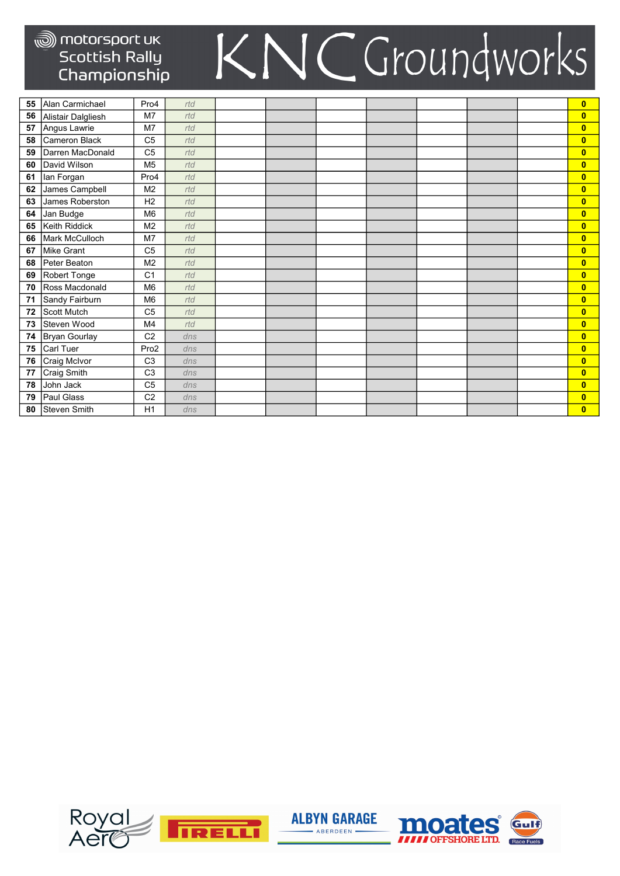| 55 | Alan Carmichael      | Pro4             | rtd |  |  |  | $\overline{\mathbf{0}}$ |
|----|----------------------|------------------|-----|--|--|--|-------------------------|
| 56 | Alistair Dalgliesh   | M7               | rtd |  |  |  | $\overline{\mathbf{0}}$ |
| 57 | Angus Lawrie         | M7               | rtd |  |  |  | $\mathbf{0}$            |
| 58 | <b>Cameron Black</b> | C <sub>5</sub>   | rtd |  |  |  | $\overline{\mathbf{0}}$ |
| 59 | Darren MacDonald     | C <sub>5</sub>   | rtd |  |  |  | $\overline{\mathbf{0}}$ |
| 60 | David Wilson         | M <sub>5</sub>   | rtd |  |  |  | $\mathbf{0}$            |
| 61 | lan Forgan           | Pro4             | rtd |  |  |  | $\mathbf{0}$            |
| 62 | James Campbell       | M <sub>2</sub>   | rtd |  |  |  | $\mathbf{0}$            |
| 63 | James Roberston      | H <sub>2</sub>   | rtd |  |  |  | $\mathbf{0}$            |
| 64 | Jan Budge            | M <sub>6</sub>   | rtd |  |  |  | $\mathbf{0}$            |
| 65 | Keith Riddick        | M <sub>2</sub>   | rtd |  |  |  | $\overline{0}$          |
| 66 | Mark McCulloch       | M <sub>7</sub>   | rtd |  |  |  | $\overline{0}$          |
| 67 | <b>Mike Grant</b>    | C <sub>5</sub>   | rtd |  |  |  | $\mathbf{0}$            |
| 68 | Peter Beaton         | M <sub>2</sub>   | rtd |  |  |  | $\overline{\mathbf{0}}$ |
| 69 | Robert Tonge         | C <sub>1</sub>   | rtd |  |  |  | $\mathbf{0}$            |
| 70 | Ross Macdonald       | M <sub>6</sub>   | rtd |  |  |  | $\overline{0}$          |
| 71 | Sandy Fairburn       | M <sub>6</sub>   | rtd |  |  |  | $\overline{0}$          |
| 72 | <b>Scott Mutch</b>   | C <sub>5</sub>   | rtd |  |  |  | $\overline{0}$          |
| 73 | Steven Wood          | M4               | rtd |  |  |  | $\overline{\mathbf{0}}$ |
| 74 | Bryan Gourlay        | C <sub>2</sub>   | dns |  |  |  | $\mathbf{0}$            |
| 75 | <b>Carl Tuer</b>     | Pro <sub>2</sub> | dns |  |  |  | $\overline{\mathbf{0}}$ |
| 76 | Craig McIvor         | C <sub>3</sub>   | dns |  |  |  | $\overline{\mathbf{0}}$ |
| 77 | <b>Craig Smith</b>   | C <sub>3</sub>   | dns |  |  |  | $\mathbf{0}$            |
| 78 | John Jack            | C <sub>5</sub>   | dns |  |  |  | $\mathbf{0}$            |
| 79 | <b>Paul Glass</b>    | C <sub>2</sub>   | dns |  |  |  | $\mathbf{0}$            |
| 80 | Steven Smith         | H1               | dns |  |  |  | $\overline{\mathbf{0}}$ |





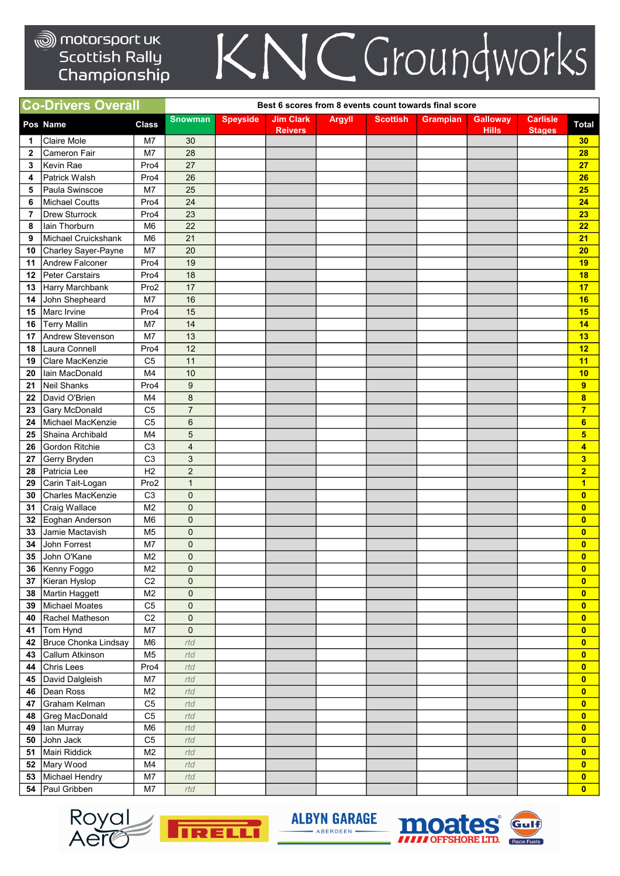## KNCGroundworks

|    | <b>Co-Drivers Overall</b> |                |                         |                 | Best 6 scores from 8 events count towards final score |               |                 |                 |                                 |                                  |                         |
|----|---------------------------|----------------|-------------------------|-----------------|-------------------------------------------------------|---------------|-----------------|-----------------|---------------------------------|----------------------------------|-------------------------|
|    | Pos Name                  | <b>Class</b>   | <b>Snowman</b>          | <b>Speyside</b> | <b>Jim Clark</b><br><b>Reivers</b>                    | <b>Argyll</b> | <b>Scottish</b> | <b>Grampian</b> | <b>Galloway</b><br><b>Hills</b> | <b>Carlisle</b><br><b>Stages</b> | <b>Total</b>            |
| 1  | Claire Mole               | M7             | 30                      |                 |                                                       |               |                 |                 |                                 |                                  | 30                      |
| 2  | <b>Cameron Fair</b>       | M7             | 28                      |                 |                                                       |               |                 |                 |                                 |                                  | 28                      |
| 3  | Kevin Rae                 | Pro4           | 27                      |                 |                                                       |               |                 |                 |                                 |                                  | 27                      |
| 4  | Patrick Walsh             | Pro4           | 26                      |                 |                                                       |               |                 |                 |                                 |                                  | 26                      |
| 5  | Paula Swinscoe            | M7             | 25                      |                 |                                                       |               |                 |                 |                                 |                                  | 25                      |
| 6  | <b>Michael Coutts</b>     | Pro4           | 24                      |                 |                                                       |               |                 |                 |                                 |                                  | 24                      |
| 7  | <b>Drew Sturrock</b>      | Pro4           | 23                      |                 |                                                       |               |                 |                 |                                 |                                  | 23                      |
| 8  | lain Thorburn             | M <sub>6</sub> | 22                      |                 |                                                       |               |                 |                 |                                 |                                  | 22                      |
| 9  | Michael Cruickshank       | M <sub>6</sub> | 21                      |                 |                                                       |               |                 |                 |                                 |                                  | 21                      |
| 10 | Charley Sayer-Payne       | M7             | 20                      |                 |                                                       |               |                 |                 |                                 |                                  | 20                      |
| 11 | Andrew Falconer           | Pro4           | 19                      |                 |                                                       |               |                 |                 |                                 |                                  | 19                      |
| 12 | Peter Carstairs           | Pro4           | 18                      |                 |                                                       |               |                 |                 |                                 |                                  | 18                      |
| 13 | Harry Marchbank           | Pro2           | 17                      |                 |                                                       |               |                 |                 |                                 |                                  | 17                      |
| 14 | John Shepheard            | M7             | 16                      |                 |                                                       |               |                 |                 |                                 |                                  | 16                      |
| 15 | Marc Irvine               | Pro4           | 15                      |                 |                                                       |               |                 |                 |                                 |                                  | 15                      |
| 16 | <b>Terry Mallin</b>       | M7             | 14                      |                 |                                                       |               |                 |                 |                                 |                                  | 14                      |
| 17 | Andrew Stevenson          | M7             | 13                      |                 |                                                       |               |                 |                 |                                 |                                  | 13                      |
| 18 | Laura Connell             | Pro4           | 12                      |                 |                                                       |               |                 |                 |                                 |                                  | 12                      |
| 19 | Clare MacKenzie           | C <sub>5</sub> | 11                      |                 |                                                       |               |                 |                 |                                 |                                  | 11                      |
| 20 | lain MacDonald            | M <sub>4</sub> | 10                      |                 |                                                       |               |                 |                 |                                 |                                  | 10                      |
| 21 | <b>Neil Shanks</b>        | Pro4           | 9                       |                 |                                                       |               |                 |                 |                                 |                                  | 9                       |
| 22 | David O'Brien             | M4             | 8                       |                 |                                                       |               |                 |                 |                                 |                                  | 8                       |
| 23 | <b>Gary McDonald</b>      | C <sub>5</sub> | $\overline{7}$          |                 |                                                       |               |                 |                 |                                 |                                  | $\overline{7}$          |
| 24 | Michael MacKenzie         | C <sub>5</sub> | 6                       |                 |                                                       |               |                 |                 |                                 |                                  | $6\phantom{a}$          |
| 25 | Shaina Archibald          | M4             | 5                       |                 |                                                       |               |                 |                 |                                 |                                  | 5                       |
| 26 | Gordon Ritchie            | C <sub>3</sub> | $\overline{\mathbf{4}}$ |                 |                                                       |               |                 |                 |                                 |                                  | 4                       |
| 27 | Gerry Bryden              | C <sub>3</sub> | 3                       |                 |                                                       |               |                 |                 |                                 |                                  | $\overline{\mathbf{3}}$ |
| 28 | Patricia Lee              | H2             | $\overline{2}$          |                 |                                                       |               |                 |                 |                                 |                                  | $\overline{2}$          |
| 29 | Carin Tait-Logan          | Pro2           | $\mathbf{1}$            |                 |                                                       |               |                 |                 |                                 |                                  | $\blacksquare$          |
| 30 | Charles MacKenzie         | C <sub>3</sub> | 0                       |                 |                                                       |               |                 |                 |                                 |                                  | $\overline{\mathbf{0}}$ |
| 31 | Craig Wallace             | M <sub>2</sub> | 0                       |                 |                                                       |               |                 |                 |                                 |                                  | $\overline{\mathbf{0}}$ |
| 32 | Eoghan Anderson           | M <sub>6</sub> | 0                       |                 |                                                       |               |                 |                 |                                 |                                  | $\overline{\mathbf{0}}$ |
| 33 | Jamie Mactavish           | M <sub>5</sub> | 0                       |                 |                                                       |               |                 |                 |                                 |                                  | $\overline{\mathbf{0}}$ |
| 34 | John Forrest              | M7             | 0                       |                 |                                                       |               |                 |                 |                                 |                                  | $\overline{\mathbf{0}}$ |
| 35 | John O'Kane               | M2             | 0                       |                 |                                                       |               |                 |                 |                                 |                                  | $\overline{0}$          |
|    | 36 Kenny Foggo            | M <sub>2</sub> | 0                       |                 |                                                       |               |                 |                 |                                 |                                  | $\mathbf{0}$            |
| 37 | Kieran Hyslop             | C <sub>2</sub> | 0                       |                 |                                                       |               |                 |                 |                                 |                                  | $\overline{\mathbf{0}}$ |
|    | 38 Martin Haggett         | M <sub>2</sub> | 0                       |                 |                                                       |               |                 |                 |                                 |                                  | $\overline{\mathbf{0}}$ |
| 39 | Michael Moates            | C <sub>5</sub> | $\pmb{0}$               |                 |                                                       |               |                 |                 |                                 |                                  | $\overline{\mathbf{0}}$ |
| 40 | Rachel Matheson           | C <sub>2</sub> | $\mathbf 0$             |                 |                                                       |               |                 |                 |                                 |                                  | $\overline{\mathbf{0}}$ |
| 41 | Tom Hynd                  | M7             | $\mathbf 0$             |                 |                                                       |               |                 |                 |                                 |                                  | $\overline{\mathbf{0}}$ |
|    | 42 Bruce Chonka Lindsay   | M <sub>6</sub> | rtd                     |                 |                                                       |               |                 |                 |                                 |                                  | $\overline{\mathbf{0}}$ |
| 43 | Callum Atkinson           | M <sub>5</sub> | rtd                     |                 |                                                       |               |                 |                 |                                 |                                  | $\overline{\mathbf{0}}$ |
| 44 | <b>Chris Lees</b>         | Pro4           | rtd                     |                 |                                                       |               |                 |                 |                                 |                                  | $\overline{\mathbf{0}}$ |
| 45 | David Dalgleish           | M7             | rtd                     |                 |                                                       |               |                 |                 |                                 |                                  | $\overline{0}$          |
| 46 | Dean Ross                 | M <sub>2</sub> | rtd                     |                 |                                                       |               |                 |                 |                                 |                                  | $\overline{\mathbf{0}}$ |
| 47 | Graham Kelman             | C <sub>5</sub> | rtd                     |                 |                                                       |               |                 |                 |                                 |                                  | $\overline{\mathbf{0}}$ |
| 48 | Greg MacDonald            | C <sub>5</sub> | rtd                     |                 |                                                       |               |                 |                 |                                 |                                  | $\overline{\mathbf{0}}$ |
| 49 | lan Murray                | M <sub>6</sub> | rtd                     |                 |                                                       |               |                 |                 |                                 |                                  | $\overline{\mathbf{0}}$ |
| 50 | John Jack                 | C <sub>5</sub> | rtd                     |                 |                                                       |               |                 |                 |                                 |                                  | $\overline{\mathbf{0}}$ |
| 51 | Mairi Riddick             | M <sub>2</sub> | rtd                     |                 |                                                       |               |                 |                 |                                 |                                  | $\overline{\mathbf{0}}$ |
|    | 52 Mary Wood              | M4             | rtd                     |                 |                                                       |               |                 |                 |                                 |                                  | $\overline{\mathbf{0}}$ |
| 53 | Michael Hendry            | M7             | rtd                     |                 |                                                       |               |                 |                 |                                 |                                  | $\overline{\mathbf{0}}$ |
| 54 | Paul Gribben              | M7             | rtd                     |                 |                                                       |               |                 |                 |                                 |                                  | $\overline{0}$          |





**ALBYN GARAGE** - ABERDEEN .

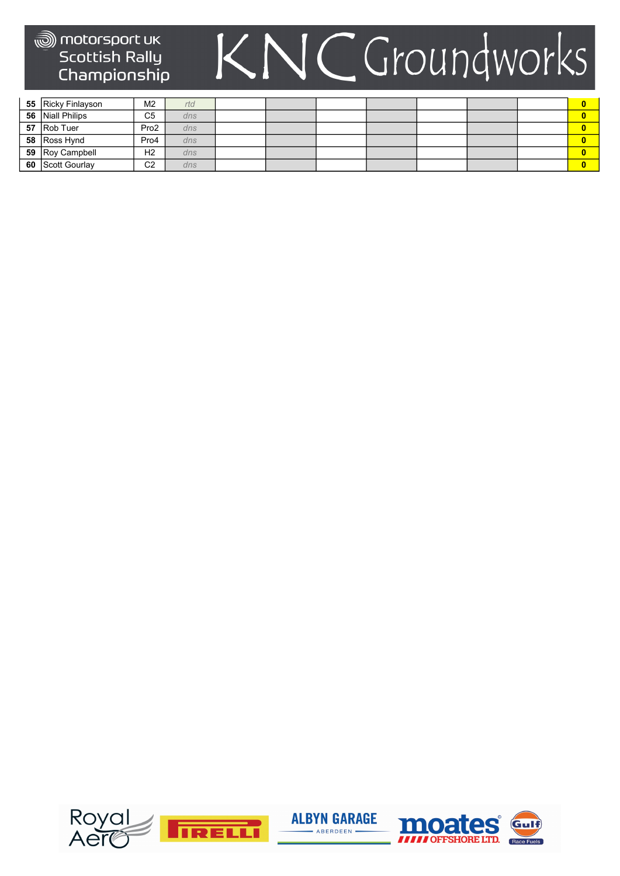| 55 Ricky Finlayson      | M <sub>2</sub>   | rtd |  |  |  |  |
|-------------------------|------------------|-----|--|--|--|--|
| 56 Niall Philips        | C <sub>5</sub>   | dns |  |  |  |  |
| 57 Rob Tuer             | Pro <sub>2</sub> | dns |  |  |  |  |
| 58 Ross Hynd            | Pro4             | dns |  |  |  |  |
| 59 Roy Campbell         | H <sub>2</sub>   | dns |  |  |  |  |
| <b>60</b> Scott Gourlay | C <sub>2</sub>   | dns |  |  |  |  |

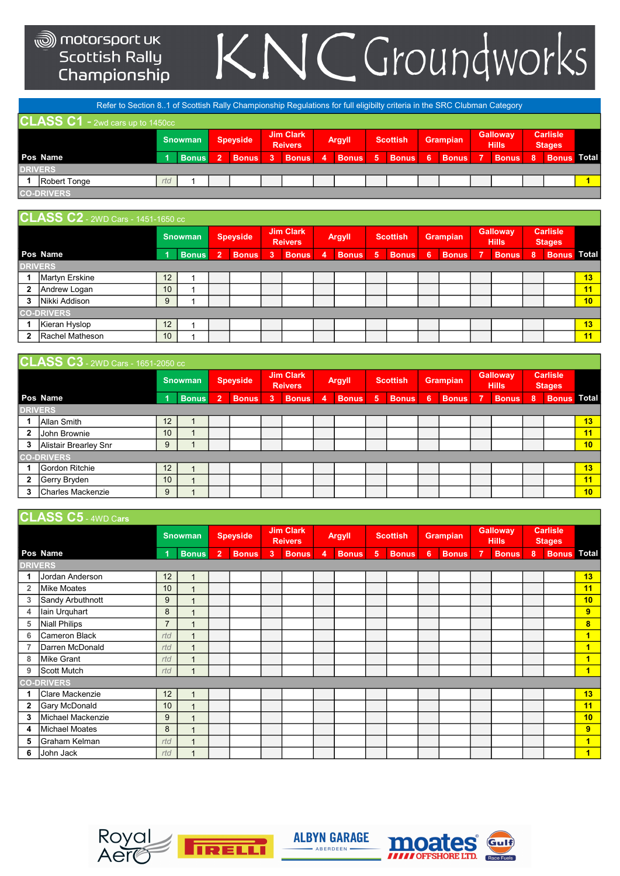# KNCGroundworks

|                                                                                                                                                                   | Refer to Section 81 of Scottish Rally Championship Regulations for full eligibilty criteria in the SRC Clubman Category |                                                                                                    |  |  |  |  |    |              |  |              |   |                    |                                  |  |  |  |  |  |
|-------------------------------------------------------------------------------------------------------------------------------------------------------------------|-------------------------------------------------------------------------------------------------------------------------|----------------------------------------------------------------------------------------------------|--|--|--|--|----|--------------|--|--------------|---|--------------------|----------------------------------|--|--|--|--|--|
|                                                                                                                                                                   | CLASS $C1$ - 2wd cars up to 1450cc                                                                                      |                                                                                                    |  |  |  |  |    |              |  |              |   |                    |                                  |  |  |  |  |  |
| <b>Galloway</b><br><b>Jim Clark</b><br><b>Grampian</b><br><b>Scottish</b><br><b>Snowman</b><br><b>Speyside</b><br><b>Argyll</b><br><b>Hills</b><br><b>Reivers</b> |                                                                                                                         |                                                                                                    |  |  |  |  |    |              |  |              |   |                    | <b>Carlisle</b><br><b>Stages</b> |  |  |  |  |  |
|                                                                                                                                                                   | Pos Name                                                                                                                | <b>Bonus</b><br><b>Bonus</b><br><b>Bonus</b><br>5<br>כ ו<br>3<br><b>Bonus</b><br>4<br><b>Bonus</b> |  |  |  |  | -6 | <b>Bonus</b> |  | <b>Bonus</b> | 8 | <b>Bonus Total</b> |                                  |  |  |  |  |  |
| <b>DRIVERS</b>                                                                                                                                                    |                                                                                                                         |                                                                                                    |  |  |  |  |    |              |  |              |   |                    |                                  |  |  |  |  |  |
|                                                                                                                                                                   | Robert Tonge                                                                                                            | rtd                                                                                                |  |  |  |  |    |              |  |              |   |                    |                                  |  |  |  |  |  |
|                                                                                                                                                                   | <b>CO-DRIVERS</b>                                                                                                       |                                                                                                    |  |  |  |  |    |              |  |              |   |                    |                                  |  |  |  |  |  |
|                                                                                                                                                                   |                                                                                                                         |                                                                                                    |  |  |  |  |    |              |  |              |   |                    |                                  |  |  |  |  |  |

|   | <b>CLASS C2</b> - 2WD Cars - 1451-1650 cc |    |              |   |                 |    |                                    |   |               |   |                 |    |                 |                          |                                 |   |                                  |                 |
|---|-------------------------------------------|----|--------------|---|-----------------|----|------------------------------------|---|---------------|---|-----------------|----|-----------------|--------------------------|---------------------------------|---|----------------------------------|-----------------|
|   |                                           |    | Snowman      |   | <b>Speyside</b> |    | <b>Jim Clark</b><br><b>Reivers</b> |   | <b>Argyll</b> |   | <b>Scottish</b> |    | <b>Grampian</b> |                          | <b>Galloway</b><br><b>Hills</b> |   | <b>Carlisle</b><br><b>Stages</b> |                 |
|   | Pos Name                                  | и  | <b>Bonus</b> | A | <b>Bonus</b>    | -3 | <b>Bonus</b>                       | 4 | <b>Bonus</b>  | 5 | <b>Bonus</b>    | -6 | <b>Bonus</b>    | $\overline{\phantom{a}}$ | <b>Bonus</b>                    | 8 | <b>Bonus Total</b>               |                 |
|   | <b>DRIVERS</b>                            |    |              |   |                 |    |                                    |   |               |   |                 |    |                 |                          |                                 |   |                                  |                 |
|   | <b>Martyn Erskine</b>                     | 12 |              |   |                 |    |                                    |   |               |   |                 |    |                 |                          |                                 |   |                                  | 13              |
| 2 | Andrew Logan                              | 10 |              |   |                 |    |                                    |   |               |   |                 |    |                 |                          |                                 |   |                                  | 11              |
| 3 | Nikki Addison                             | 9  |              |   |                 |    |                                    |   |               |   |                 |    |                 |                          |                                 |   |                                  | 10 <sub>1</sub> |
|   | <b>CO-DRIVERS</b>                         |    |              |   |                 |    |                                    |   |               |   |                 |    |                 |                          |                                 |   |                                  |                 |
|   | Kieran Hyslop                             | 12 |              |   |                 |    |                                    |   |               |   |                 |    |                 |                          |                                 |   |                                  | 13              |
| 2 | Rachel Matheson                           | 10 |              |   |                 |    |                                    |   |               |   |                 |    |                 |                          |                                 |   |                                  | 11              |

#### $C1$   $\triangle$   $S$   $\triangle$   $S$   $\triangle$   $2$   $\triangle$   $2$   $\triangle$   $2$   $\triangle$   $2$   $\triangle$   $2$   $\triangle$   $2$   $\triangle$   $2$   $\triangle$   $2$   $\triangle$   $2$   $\triangle$   $2$   $\triangle$   $2$   $\triangle$   $2$   $\triangle$   $2$   $\triangle$   $2$   $\triangle$   $2$   $\triangle$   $2$   $\triangle$   $2$   $\triangle$   $2$   $\triangle$   $2$   $\triangle$   $2$   $\triangle$   $2$   $\triangle$   $2$

|              | <b>POLACO OU -</b> ZWD Cals - 100 i-2000 CC |    |                |                           |              |   |                                    |   |               |   |                 |    |                 |   |                                 |     |                                  |    |
|--------------|---------------------------------------------|----|----------------|---------------------------|--------------|---|------------------------------------|---|---------------|---|-----------------|----|-----------------|---|---------------------------------|-----|----------------------------------|----|
|              |                                             |    | <b>Snowman</b> |                           | Speyside     |   | <b>Jim Clark</b><br><b>Reivers</b> |   | <b>Argyll</b> |   | <b>Scottish</b> |    | <b>Grampian</b> |   | <b>Galloway</b><br><b>Hills</b> |     | <b>Carlisle</b><br><b>Stages</b> |    |
|              | Pos Name                                    |    | <b>Bonus</b>   | $\mathbf{2}^{\mathsf{I}}$ | <b>Bonus</b> | 3 | <b>Bonus</b>                       | 4 | <b>Bonus</b>  | 5 | <b>Bonus</b>    | -6 | <b>Bonus</b>    | 7 | <b>Bonus</b>                    | Ι8, | <b>Bonus Total</b>               |    |
|              | <b>DRIVERS</b>                              |    |                |                           |              |   |                                    |   |               |   |                 |    |                 |   |                                 |     |                                  |    |
|              | IAllan Smith                                | 12 |                |                           |              |   |                                    |   |               |   |                 |    |                 |   |                                 |     |                                  | 13 |
| 2            | John Brownie                                | 10 |                |                           |              |   |                                    |   |               |   |                 |    |                 |   |                                 |     |                                  | 11 |
| 3            | Alistair Brearley Snr                       | 9  |                |                           |              |   |                                    |   |               |   |                 |    |                 |   |                                 |     |                                  | 10 |
|              | <b>CO-DRIVERS</b>                           |    |                |                           |              |   |                                    |   |               |   |                 |    |                 |   |                                 |     |                                  |    |
|              | Gordon Ritchie                              | 12 |                |                           |              |   |                                    |   |               |   |                 |    |                 |   |                                 |     |                                  | 13 |
| $\mathbf{2}$ | Gerry Bryden                                | 10 |                |                           |              |   |                                    |   |               |   |                 |    |                 |   |                                 |     |                                  | 11 |
| 3            | Charles Mackenzie                           | 9  |                |                           |              |   |                                    |   |               |   |                 |    |                 |   |                                 |     |                                  | 10 |

|  | $CLASS C5$ - 4WD Cars |  |
|--|-----------------------|--|
|  |                       |  |

|                | <b>PLAUU VV</b> - 4WD Cars |                |                          |                |                 |   |                                    |                |               |                |                 |   |                 |                |                                 |   |                                  |                         |
|----------------|----------------------------|----------------|--------------------------|----------------|-----------------|---|------------------------------------|----------------|---------------|----------------|-----------------|---|-----------------|----------------|---------------------------------|---|----------------------------------|-------------------------|
|                |                            |                | <b>Snowman</b>           |                | <b>Speyside</b> |   | <b>Jim Clark</b><br><b>Reivers</b> |                | <b>Argyll</b> |                | <b>Scottish</b> |   | <b>Grampian</b> |                | <b>Galloway</b><br><b>Hills</b> |   | <b>Carlisle</b><br><b>Stages</b> |                         |
|                | Pos Name                   |                | <b>Bonus</b>             | $\overline{2}$ | <b>Bonus</b>    | 3 | <b>Bonus</b>                       | $\overline{4}$ | <b>Bonus</b>  | 5 <sup>5</sup> | <b>Bonus</b>    | 6 | <b>Bonus</b>    | $\overline{7}$ | <b>Bonus</b>                    | 8 | <b>Bonus</b> Total               |                         |
|                | <b>DRIVERS</b>             |                |                          |                |                 |   |                                    |                |               |                |                 |   |                 |                |                                 |   |                                  |                         |
| 1              | Jordan Anderson            | 12             | $\overline{1}$           |                |                 |   |                                    |                |               |                |                 |   |                 |                |                                 |   |                                  | 13                      |
| $\overline{2}$ | Mike Moates                | 10             | $\overline{1}$           |                |                 |   |                                    |                |               |                |                 |   |                 |                |                                 |   |                                  | 11                      |
| 3              | Sandy Arbuthnott           | 9              | 1                        |                |                 |   |                                    |                |               |                |                 |   |                 |                |                                 |   |                                  | 10 <sub>1</sub>         |
| 4              | lain Urquhart              | 8              | $\overline{\phantom{a}}$ |                |                 |   |                                    |                |               |                |                 |   |                 |                |                                 |   |                                  | 9                       |
| 5              | Niall Philips              | $\overline{7}$ | $\overline{A}$           |                |                 |   |                                    |                |               |                |                 |   |                 |                |                                 |   |                                  | $\bf{8}$                |
| 6              | <b>Cameron Black</b>       | rtd            | 1                        |                |                 |   |                                    |                |               |                |                 |   |                 |                |                                 |   |                                  | $\overline{\mathbf{1}}$ |
| 7              | Darren McDonald            | rtd            | $\overline{1}$           |                |                 |   |                                    |                |               |                |                 |   |                 |                |                                 |   |                                  | $\overline{\mathbf{1}}$ |
| 8              | Mike Grant                 | rtd            | 1                        |                |                 |   |                                    |                |               |                |                 |   |                 |                |                                 |   |                                  | 1                       |
| 9              | Scott Mutch                | rtd            | $\overline{1}$           |                |                 |   |                                    |                |               |                |                 |   |                 |                |                                 |   |                                  | $\overline{\mathbf{1}}$ |
|                | <b>CO-DRIVERS</b>          |                |                          |                |                 |   |                                    |                |               |                |                 |   |                 |                |                                 |   |                                  |                         |
|                | <b>Clare Mackenzie</b>     | 12             | $\overline{\phantom{a}}$ |                |                 |   |                                    |                |               |                |                 |   |                 |                |                                 |   |                                  | 13                      |
| $\mathbf{2}$   | <b>Gary McDonald</b>       | 10             | $\overline{1}$           |                |                 |   |                                    |                |               |                |                 |   |                 |                |                                 |   |                                  | 11                      |
| 3              | Michael Mackenzie          | 9              | $\mathbf{1}$             |                |                 |   |                                    |                |               |                |                 |   |                 |                |                                 |   |                                  | 10                      |
| 4              | Michael Moates             | 8              | 1                        |                |                 |   |                                    |                |               |                |                 |   |                 |                |                                 |   |                                  | 9                       |
| 5              | Graham Kelman              | rtd            | $\overline{ }$           |                |                 |   |                                    |                |               |                |                 |   |                 |                |                                 |   |                                  | 1                       |
| 6              | John Jack                  | rtd            | $\overline{\phantom{a}}$ |                |                 |   |                                    |                |               |                |                 |   |                 |                |                                 |   |                                  | 1                       |







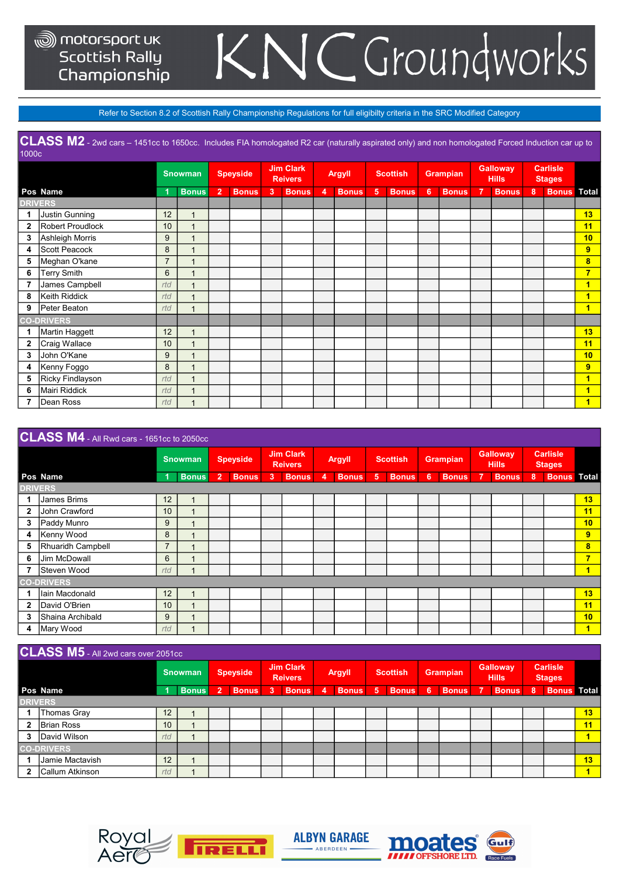### JCGroundworks K

Refer to Section 8.2 of Scottish Rally Championship Regulations for full eligibilty criteria in the SRC Modified Category

CLASS M2 - 2wd cars – 1451cc to 1650cc. Includes FIA homologated R2 car (naturally aspirated only) and non homologated Forced Induction car up to 1000c

|              |                    |                | <b>Snowman</b>           |                | <b>Speyside</b> |    | <b>Jim Clark</b><br><b>Reivers</b> |   | <b>Argyll</b> |   | <b>Scottish</b> |                | <b>Grampian</b> |   | <b>Galloway</b><br><b>Hills</b> |   | <b>Carlisle</b><br><b>Stages</b> |                         |
|--------------|--------------------|----------------|--------------------------|----------------|-----------------|----|------------------------------------|---|---------------|---|-----------------|----------------|-----------------|---|---------------------------------|---|----------------------------------|-------------------------|
|              | Pos Name           |                | <b>Bonus</b>             | $\overline{2}$ | <b>Bonus</b>    | -3 | <b>Bonus</b>                       | 4 | <b>Bonus</b>  | 5 | <b>Bonus</b>    | $\overline{6}$ | <b>Bonus</b>    | 7 | <b>Bonus</b>                    | 8 | <b>Bonus</b> Total               |                         |
|              | <b>DRIVERS</b>     |                |                          |                |                 |    |                                    |   |               |   |                 |                |                 |   |                                 |   |                                  |                         |
| 1            | Justin Gunning     | 12             | $\overline{1}$           |                |                 |    |                                    |   |               |   |                 |                |                 |   |                                 |   |                                  | 13                      |
| $\mathbf{2}$ | Robert Proudlock   | 10             | $\overline{1}$           |                |                 |    |                                    |   |               |   |                 |                |                 |   |                                 |   |                                  | 11                      |
| 3            | Ashleigh Morris    | 9              | $\overline{1}$           |                |                 |    |                                    |   |               |   |                 |                |                 |   |                                 |   |                                  | 10                      |
| 4            | Scott Peacock      | 8              | 4                        |                |                 |    |                                    |   |               |   |                 |                |                 |   |                                 |   |                                  | 9                       |
| 5            | Meghan O'kane      | $\overline{7}$ |                          |                |                 |    |                                    |   |               |   |                 |                |                 |   |                                 |   |                                  | 8                       |
| 6            | <b>Terry Smith</b> | 6              | $\overline{\phantom{a}}$ |                |                 |    |                                    |   |               |   |                 |                |                 |   |                                 |   |                                  | 7                       |
| 7            | James Campbell     | rtd            | $\overline{ }$           |                |                 |    |                                    |   |               |   |                 |                |                 |   |                                 |   |                                  |                         |
| 8            | Keith Riddick      | rtd            | $\overline{1}$           |                |                 |    |                                    |   |               |   |                 |                |                 |   |                                 |   |                                  |                         |
| 9            | Peter Beaton       | rtd            | 1                        |                |                 |    |                                    |   |               |   |                 |                |                 |   |                                 |   |                                  | 1                       |
|              | <b>CO-DRIVERS</b>  |                |                          |                |                 |    |                                    |   |               |   |                 |                |                 |   |                                 |   |                                  |                         |
| 1            | Martin Haggett     | 12             | 1                        |                |                 |    |                                    |   |               |   |                 |                |                 |   |                                 |   |                                  | 13                      |
| $\mathbf{2}$ | Craig Wallace      | 10             | 1                        |                |                 |    |                                    |   |               |   |                 |                |                 |   |                                 |   |                                  | 11                      |
| 3            | John O'Kane        | 9              | $\overline{1}$           |                |                 |    |                                    |   |               |   |                 |                |                 |   |                                 |   |                                  | 10 <sub>1</sub>         |
| 4            | Kenny Foggo        | 8              | 1                        |                |                 |    |                                    |   |               |   |                 |                |                 |   |                                 |   |                                  | 9                       |
| 5            | Ricky Findlayson   | rtd            | $\overline{1}$           |                |                 |    |                                    |   |               |   |                 |                |                 |   |                                 |   |                                  | $\overline{\mathbf{1}}$ |
| 6            | Mairi Riddick      | rtd            | $\overline{A}$           |                |                 |    |                                    |   |               |   |                 |                |                 |   |                                 |   |                                  | 1                       |
|              | Dean Ross          | rtd            | 4                        |                |                 |    |                                    |   |               |   |                 |                |                 |   |                                 |   |                                  | 1                       |

|                | CLASS M4 - All Rwd cars - 1651cc to 2050cc |                |                |                |                 |   |                                    |   |               |   |                 |     |                 |                                 |   |                                  |                         |
|----------------|--------------------------------------------|----------------|----------------|----------------|-----------------|---|------------------------------------|---|---------------|---|-----------------|-----|-----------------|---------------------------------|---|----------------------------------|-------------------------|
|                |                                            |                | <b>Snowman</b> |                | <b>Speyside</b> |   | <b>Jim Clark</b><br><b>Reivers</b> |   | <b>Argyll</b> |   | <b>Scottish</b> |     | <b>Grampian</b> | <b>Galloway</b><br><b>Hills</b> |   | <b>Carlisle</b><br><b>Stages</b> |                         |
|                | Pos Name                                   |                | <b>Bonus</b>   | $\overline{2}$ | <b>Bonus</b>    | 3 | <b>Bonus</b>                       | 4 | <b>Bonus</b>  | 5 | <b>Bonus</b>    | - 6 | <b>Bonus</b>    | <b>Bonus</b>                    | 8 | <b>Bonus</b>                     | <b>Total</b>            |
| <b>DRIVERS</b> |                                            |                |                |                |                 |   |                                    |   |               |   |                 |     |                 |                                 |   |                                  |                         |
| 1              | James Brims                                | 12             |                |                |                 |   |                                    |   |               |   |                 |     |                 |                                 |   |                                  | 13                      |
| $\mathbf{2}$   | John Crawford                              | 10             |                |                |                 |   |                                    |   |               |   |                 |     |                 |                                 |   |                                  | 11                      |
| 3              | Paddy Munro                                | 9              |                |                |                 |   |                                    |   |               |   |                 |     |                 |                                 |   |                                  | 10                      |
| 4              | Kenny Wood                                 | 8              |                |                |                 |   |                                    |   |               |   |                 |     |                 |                                 |   |                                  | 9                       |
| 5              | Rhuaridh Campbell                          | $\overline{7}$ |                |                |                 |   |                                    |   |               |   |                 |     |                 |                                 |   |                                  | $\overline{\mathbf{8}}$ |
| 6              | Jim McDowall                               | 6              |                |                |                 |   |                                    |   |               |   |                 |     |                 |                                 |   |                                  | 7                       |
| 7              | Steven Wood                                | rtd            |                |                |                 |   |                                    |   |               |   |                 |     |                 |                                 |   |                                  | 1                       |
|                | <b>CO-DRIVERS</b>                          |                |                |                |                 |   |                                    |   |               |   |                 |     |                 |                                 |   |                                  |                         |
|                | Iain Macdonald                             | 12             |                |                |                 |   |                                    |   |               |   |                 |     |                 |                                 |   |                                  | 13                      |
| $\mathbf{2}$   | David O'Brien                              | 10             |                |                |                 |   |                                    |   |               |   |                 |     |                 |                                 |   |                                  | 11                      |
| 3              | Shaina Archibald                           | 9              |                |                |                 |   |                                    |   |               |   |                 |     |                 |                                 |   |                                  | 10                      |
| 4              | Mary Wood                                  | rtd            |                |                |                 |   |                                    |   |               |   |                 |     |                 |                                 |   |                                  | 1                       |

#### CLASS M5 - All 2wd cars over 205

|              | <b>U LIVE INTU</b> THE ZWY CARD OVER 200 TOO |                 |                |   |                 |    |                                    |   |               |   |                 |   |                 |   |                                 |   |                                  |    |
|--------------|----------------------------------------------|-----------------|----------------|---|-----------------|----|------------------------------------|---|---------------|---|-----------------|---|-----------------|---|---------------------------------|---|----------------------------------|----|
|              |                                              |                 | <b>Snowman</b> |   | <b>Speyside</b> |    | <b>Jim Clark</b><br><b>Reivers</b> |   | <b>Argyll</b> |   | <b>Scottish</b> |   | <b>Grampian</b> |   | <b>Galloway</b><br><b>Hills</b> |   | <b>Carlisle</b><br><b>Stages</b> |    |
|              | Pos Name                                     |                 | <b>Bonus</b>   | 2 | <b>Bonus</b>    | -3 | <b>Bonus</b>                       | 4 | <b>Bonus</b>  | 5 | <b>Bonus</b>    | 6 | <b>Bonus</b>    | 7 | <b>Bonus</b>                    | 8 | <b>Bonus</b> Total               |    |
|              | <b>DRIVERS</b>                               |                 |                |   |                 |    |                                    |   |               |   |                 |   |                 |   |                                 |   |                                  |    |
|              | <b>Thomas Gray</b>                           | 12 <sup>°</sup> |                |   |                 |    |                                    |   |               |   |                 |   |                 |   |                                 |   |                                  | 13 |
| 2            | IBrian Ross                                  | 10 <sup>°</sup> |                |   |                 |    |                                    |   |               |   |                 |   |                 |   |                                 |   |                                  | 11 |
|              | David Wilson                                 | rtd             |                |   |                 |    |                                    |   |               |   |                 |   |                 |   |                                 |   |                                  |    |
|              | <b>CO-DRIVERS</b>                            |                 |                |   |                 |    |                                    |   |               |   |                 |   |                 |   |                                 |   |                                  |    |
|              | Jamie Mactavish                              | 12              |                |   |                 |    |                                    |   |               |   |                 |   |                 |   |                                 |   |                                  | 13 |
| $\mathbf{2}$ | <b>Callum Atkinson</b>                       | rtd             |                |   |                 |    |                                    |   |               |   |                 |   |                 |   |                                 |   |                                  |    |







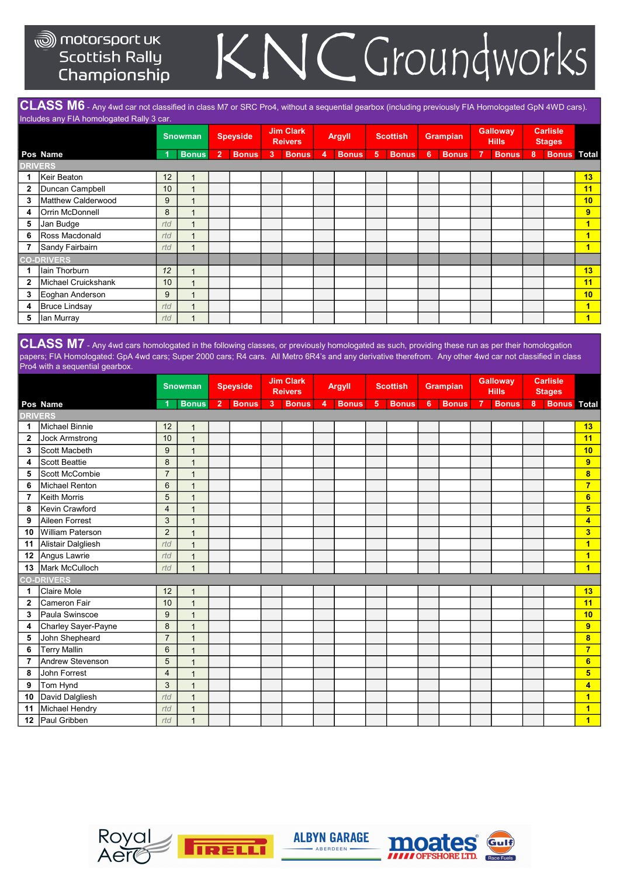### C Groundworks K

CLASS M6 - Any 4wd car not classified in class M7 or SRC Pro4, without a sequential gearbox (including previously FIA Homologated GpN 4WD cars). Includes any FIA homologated Rally 3 car.

|              |                      |     | <b>Snowman</b>          |                | <b>Speyside</b> |    | <b>Jim Clark</b><br><b>Reivers</b> |   | <b>Argyll</b> |                | Scottish     |   | <b>Grampian</b> |                | <b>Galloway</b><br><b>Hills</b> |   | <b>Carlisle</b><br><b>Stages</b> |                         |
|--------------|----------------------|-----|-------------------------|----------------|-----------------|----|------------------------------------|---|---------------|----------------|--------------|---|-----------------|----------------|---------------------------------|---|----------------------------------|-------------------------|
|              | Pos Name             |     | <b>Bonus</b>            | $\overline{2}$ | <b>Bonus</b>    | -3 | <b>Bonus</b>                       | 4 | <b>Bonus</b>  | 5 <sub>5</sub> | <b>Bonus</b> | 6 | <b>Bonus</b>    | $\overline{7}$ | <b>Bonus</b>                    | 8 | <b>Bonus</b> Total               |                         |
|              | <b>DRIVERS</b>       |     |                         |                |                 |    |                                    |   |               |                |              |   |                 |                |                                 |   |                                  |                         |
|              | Keir Beaton          | 12  | 1                       |                |                 |    |                                    |   |               |                |              |   |                 |                |                                 |   |                                  | 13                      |
| 2            | Duncan Campbell      | 10  | $\overline{1}$          |                |                 |    |                                    |   |               |                |              |   |                 |                |                                 |   |                                  | 11                      |
| 3            | Matthew Calderwood   | 9   | $\overline{ }$          |                |                 |    |                                    |   |               |                |              |   |                 |                |                                 |   |                                  | 10                      |
| 4            | Orrin McDonnell      | 8   | 1                       |                |                 |    |                                    |   |               |                |              |   |                 |                |                                 |   |                                  | 9                       |
| 5            | Jan Budge            | rtd | $\overline{\mathbf{A}}$ |                |                 |    |                                    |   |               |                |              |   |                 |                |                                 |   |                                  | 1                       |
| 6            | Ross Macdonald       | rtd | 1                       |                |                 |    |                                    |   |               |                |              |   |                 |                |                                 |   |                                  | 1                       |
|              | Sandy Fairbairn      | rtd | $\overline{ }$          |                |                 |    |                                    |   |               |                |              |   |                 |                |                                 |   |                                  | $\blacksquare$          |
|              | <b>CO-DRIVERS</b>    |     |                         |                |                 |    |                                    |   |               |                |              |   |                 |                |                                 |   |                                  |                         |
|              | lain Thorburn        | 12  | $\overline{1}$          |                |                 |    |                                    |   |               |                |              |   |                 |                |                                 |   |                                  | 13                      |
| $\mathbf{2}$ | Michael Cruickshank  | 10  | $\overline{A}$          |                |                 |    |                                    |   |               |                |              |   |                 |                |                                 |   |                                  | 11                      |
| 3            | Eoghan Anderson      | 9   | 1                       |                |                 |    |                                    |   |               |                |              |   |                 |                |                                 |   |                                  | 10                      |
| 4            | <b>Bruce Lindsay</b> | rtd | $\overline{ }$          |                |                 |    |                                    |   |               |                |              |   |                 |                |                                 |   |                                  | $\overline{\mathbf{1}}$ |
| 5            | Ian Murray           | rtd | 1                       |                |                 |    |                                    |   |               |                |              |   |                 |                |                                 |   |                                  | $\blacksquare$          |

CLASS M7 - Any 4wd cars homologated in the following classes, or previously homologated as such, providing these run as per their homologation papers; FIA Homologated: GpA 4wd cars; Super 2000 cars; R4 cars. All Metro 6R4's and any derivative therefrom. Any other 4wd car not classified in class Pro4 with a sequential gearbox.

|                |                       |                | <b>Snowman</b> |                | <b>Speyside</b> |       | <b>Jim Clark</b><br><b>Reivers</b> |                | <b>Argyll</b> |                | <b>Scottish</b> |   | <b>Grampian</b> |                | <b>Galloway</b><br><b>Hills</b> |                | <b>Carlisle</b><br><b>Stages</b> |                         |
|----------------|-----------------------|----------------|----------------|----------------|-----------------|-------|------------------------------------|----------------|---------------|----------------|-----------------|---|-----------------|----------------|---------------------------------|----------------|----------------------------------|-------------------------|
|                | Pos Name              | 1              | <b>Bonus</b>   | 2 <sup>1</sup> | <b>Bonus</b>    | $3 -$ | <b>Bonus</b>                       | $\overline{4}$ | <b>Bonus</b>  | 5 <sub>5</sub> | <b>Bonus</b>    | 6 | <b>Bonus</b>    | $\overline{7}$ | <b>Bonus</b>                    | 8 <sup>1</sup> | <b>Bonus</b>                     | <b>Total</b>            |
| <b>DRIVERS</b> |                       |                |                |                |                 |       |                                    |                |               |                |                 |   |                 |                |                                 |                |                                  |                         |
| 1              | Michael Binnie        | 12             | $\mathbf{1}$   |                |                 |       |                                    |                |               |                |                 |   |                 |                |                                 |                |                                  | 13                      |
| $\mathbf{2}$   | <b>Jock Armstrong</b> | 10             | $\mathbf{1}$   |                |                 |       |                                    |                |               |                |                 |   |                 |                |                                 |                |                                  | 11                      |
| 3              | Scott Macbeth         | 9              | $\mathbf{1}$   |                |                 |       |                                    |                |               |                |                 |   |                 |                |                                 |                |                                  | 10                      |
| 4              | Scott Beattie         | 8              | $\mathbf{1}$   |                |                 |       |                                    |                |               |                |                 |   |                 |                |                                 |                |                                  | 9                       |
| 5              | Scott McCombie        | $\overline{7}$ | $\mathbf{1}$   |                |                 |       |                                    |                |               |                |                 |   |                 |                |                                 |                |                                  | 8                       |
| 6              | Michael Renton        | $6\phantom{1}$ | 1              |                |                 |       |                                    |                |               |                |                 |   |                 |                |                                 |                |                                  | $\overline{7}$          |
| 7              | Keith Morris          | 5              | 1              |                |                 |       |                                    |                |               |                |                 |   |                 |                |                                 |                |                                  | $6\phantom{a}$          |
| 8              | Kevin Crawford        | $\overline{4}$ | 1              |                |                 |       |                                    |                |               |                |                 |   |                 |                |                                 |                |                                  | 5                       |
| 9              | Aileen Forrest        | 3              | 1              |                |                 |       |                                    |                |               |                |                 |   |                 |                |                                 |                |                                  | 4                       |
| 10             | William Paterson      | 2              | 1              |                |                 |       |                                    |                |               |                |                 |   |                 |                |                                 |                |                                  | 3                       |
| 11             | Alistair Dalgliesh    | rtd            | $\mathbf{1}$   |                |                 |       |                                    |                |               |                |                 |   |                 |                |                                 |                |                                  | $\overline{1}$          |
| 12             | Angus Lawrie          | rtd            | $\overline{1}$ |                |                 |       |                                    |                |               |                |                 |   |                 |                |                                 |                |                                  | $\overline{1}$          |
| 13             | Mark McCulloch        | rtd            | $\overline{1}$ |                |                 |       |                                    |                |               |                |                 |   |                 |                |                                 |                |                                  | $\overline{1}$          |
|                | <b>CO-DRIVERS</b>     |                |                |                |                 |       |                                    |                |               |                |                 |   |                 |                |                                 |                |                                  |                         |
| 1              | Claire Mole           | 12             | $\overline{1}$ |                |                 |       |                                    |                |               |                |                 |   |                 |                |                                 |                |                                  | 13                      |
| $\overline{2}$ | Cameron Fair          | 10             | $\overline{1}$ |                |                 |       |                                    |                |               |                |                 |   |                 |                |                                 |                |                                  | 11                      |
| 3              | Paula Swinscoe        | 9              | $\overline{1}$ |                |                 |       |                                    |                |               |                |                 |   |                 |                |                                 |                |                                  | 10                      |
| 4              | Charley Sayer-Payne   | 8              | $\overline{1}$ |                |                 |       |                                    |                |               |                |                 |   |                 |                |                                 |                |                                  | $\overline{9}$          |
| 5              | John Shepheard        | $\overline{7}$ | $\overline{1}$ |                |                 |       |                                    |                |               |                |                 |   |                 |                |                                 |                |                                  | 8                       |
| 6              | <b>Terry Mallin</b>   | $6\phantom{1}$ | $\overline{1}$ |                |                 |       |                                    |                |               |                |                 |   |                 |                |                                 |                |                                  | $\overline{7}$          |
| 7              | Andrew Stevenson      | 5              | $\overline{1}$ |                |                 |       |                                    |                |               |                |                 |   |                 |                |                                 |                |                                  | $6\phantom{a}$          |
| 8              | John Forrest          | $\overline{4}$ | $\overline{1}$ |                |                 |       |                                    |                |               |                |                 |   |                 |                |                                 |                |                                  | 5                       |
| 9              | Tom Hynd              | 3              | $\overline{1}$ |                |                 |       |                                    |                |               |                |                 |   |                 |                |                                 |                |                                  | 4                       |
| 10             | David Dalgliesh       | rtd            | $\overline{1}$ |                |                 |       |                                    |                |               |                |                 |   |                 |                |                                 |                |                                  | $\overline{\mathbf{1}}$ |
| 11             | Michael Hendry        | rtd            | $\overline{1}$ |                |                 |       |                                    |                |               |                |                 |   |                 |                |                                 |                |                                  | 1                       |
| 12             | Paul Gribben          | rtd            | $\mathbf{1}$   |                |                 |       |                                    |                |               |                |                 |   |                 |                |                                 |                |                                  | $\overline{\mathbf{1}}$ |





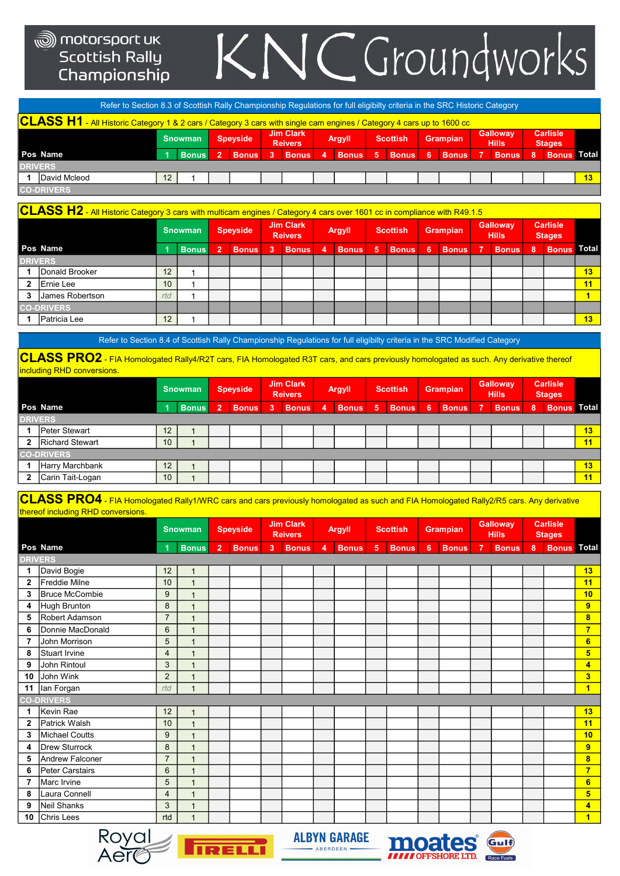## KNCGroundworks

|                                                                                                                                                                                                | Refer to Section 8.3 of Scottish Rally Championship Regulations for full eligibilty criteria in the SRC Historic Category                 |              |              |                |              |   |              |   |              |                |              |    |              |              |   |                    |                 |
|------------------------------------------------------------------------------------------------------------------------------------------------------------------------------------------------|-------------------------------------------------------------------------------------------------------------------------------------------|--------------|--------------|----------------|--------------|---|--------------|---|--------------|----------------|--------------|----|--------------|--------------|---|--------------------|-----------------|
|                                                                                                                                                                                                | $\sf CLASS$ $\sf H1$ - All Historic Category 1 & 2 cars / Category 3 cars with single cam engines / Category 4 cars up to 1600 cc $\cdot$ |              |              |                |              |   |              |   |              |                |              |    |              |              |   |                    |                 |
| <b>Carlisle</b><br><b>Jim Clark</b><br><b>Galloway</b><br><b>Grampian</b><br><b>Speyside</b><br>Argyll<br><b>Scottish</b><br><b>Snowman</b><br><b>Hills</b><br><b>Reivers</b><br><b>Stages</b> |                                                                                                                                           |              |              |                |              |   |              |   |              |                |              |    |              |              |   |                    |                 |
|                                                                                                                                                                                                | Pos Name                                                                                                                                  |              | <b>Bonus</b> | $\overline{2}$ | <b>Bonus</b> | 3 | <b>Bonus</b> | 4 | <b>Bonus</b> | 5 <sup>1</sup> | <b>Bonus</b> | -6 | <b>Bonus</b> | <b>Bonus</b> | 8 | <b>Bonus Total</b> |                 |
|                                                                                                                                                                                                | <b>DRIVERS</b>                                                                                                                            |              |              |                |              |   |              |   |              |                |              |    |              |              |   |                    |                 |
|                                                                                                                                                                                                | David Mcleod                                                                                                                              | $12^{\circ}$ |              |                |              |   |              |   |              |                |              |    |              |              |   |                    | 13 <sub>1</sub> |
|                                                                                                                                                                                                | <b>CO-DRIVERS</b>                                                                                                                         |              |              |                |              |   |              |   |              |                |              |    |              |              |   |                    |                 |

|              | $\overline{\textsf{CLASS H2}}$ - All Historic Category 3 cars with multicam engines / Category 4 cars over 1601 cc in compliance with R49.1.5 |     |                |                |                 |    |                                    |                         |               |   |                 |    |                 |   |                                 |   |                                  |                 |
|--------------|-----------------------------------------------------------------------------------------------------------------------------------------------|-----|----------------|----------------|-----------------|----|------------------------------------|-------------------------|---------------|---|-----------------|----|-----------------|---|---------------------------------|---|----------------------------------|-----------------|
|              |                                                                                                                                               |     | <b>Snowman</b> |                | <b>Speyside</b> |    | <b>Jim Clark</b><br><b>Reivers</b> |                         | <b>Argyll</b> |   | <b>Scottish</b> |    | <b>Grampian</b> |   | <b>Galloway</b><br><b>Hills</b> |   | <b>Carlisle</b><br><b>Stages</b> |                 |
|              | Pos Name                                                                                                                                      |     | <b>Bonus</b>   | $\overline{2}$ | <b>Bonus</b>    | -3 | <b>Bonus</b>                       | $\overline{\mathbf{4}}$ | <b>Bonus</b>  | 5 | <b>Bonus</b>    | -6 | <b>Bonus</b>    | 7 | <b>Bonus</b>                    | 8 | <b>Bonus</b>                     | Total           |
|              | <b>DRIVERS</b>                                                                                                                                |     |                |                |                 |    |                                    |                         |               |   |                 |    |                 |   |                                 |   |                                  |                 |
|              | Donald Brooker                                                                                                                                | 12  |                |                |                 |    |                                    |                         |               |   |                 |    |                 |   |                                 |   |                                  | 13              |
| $\mathbf{2}$ | Ernie Lee                                                                                                                                     | 10  |                |                |                 |    |                                    |                         |               |   |                 |    |                 |   |                                 |   |                                  | 11              |
| 3            | James Robertson                                                                                                                               | rtd |                |                |                 |    |                                    |                         |               |   |                 |    |                 |   |                                 |   |                                  |                 |
|              | <b>CO-DRIVERS</b>                                                                                                                             |     |                |                |                 |    |                                    |                         |               |   |                 |    |                 |   |                                 |   |                                  |                 |
|              | Patricia Lee                                                                                                                                  | 12  |                |                |                 |    |                                    |                         |               |   |                 |    |                 |   |                                 |   |                                  | 13 <sub>1</sub> |

Refer to Section 8.4 of Scottish Rally Championship Regulations for full eligibilty criteria in the SRC Modified Category

CLASS PRO2 - FIA Homologated Rally4/R2T cars, FIA Homologated R3T cars, and cars previously homologated as such. Any derivative thereof including RHD conversions.

|                   |    | <b>Snowman</b> |                | <b>Speyside</b> |   | <b>Jim Clark</b><br><b>Reivers</b> |   | <b>Argyll</b> |   | <b>Scottish</b> |   | <b>Grampian</b> |   | <b>Galloway</b><br>Hills |   | <b>Carlisle</b> |                                     |
|-------------------|----|----------------|----------------|-----------------|---|------------------------------------|---|---------------|---|-----------------|---|-----------------|---|--------------------------|---|-----------------|-------------------------------------|
| Pos Name          |    | <b>Bonus</b>   | $\overline{2}$ | <b>Bonus</b>    | 3 |                                    | 4 | <b>Bonus</b>  | 5 | <b>Bonus</b>    | 6 | <b>Bonus</b>    | 7 | <b>Bonus</b>             | 8 |                 |                                     |
| <b>DRIVERS</b>    |    |                |                |                 |   |                                    |   |               |   |                 |   |                 |   |                          |   |                 |                                     |
| Peter Stewart     | 12 |                |                |                 |   |                                    |   |               |   |                 |   |                 |   |                          |   |                 | 13                                  |
| Richard Stewart   | 10 |                |                |                 |   |                                    |   |               |   |                 |   |                 |   |                          |   |                 | 11                                  |
| <b>CO-DRIVERS</b> |    |                |                |                 |   |                                    |   |               |   |                 |   |                 |   |                          |   |                 |                                     |
| Harry Marchbank   | 12 |                |                |                 |   |                                    |   |               |   |                 |   |                 |   |                          |   |                 | 13                                  |
| Carin Tait-Logan  | 10 |                |                |                 |   |                                    |   |               |   |                 |   |                 |   |                          |   |                 | 11                                  |
|                   |    |                |                |                 |   |                                    |   | <b>Bonus</b>  |   |                 |   |                 |   |                          |   |                 | <b>Stages</b><br><b>Bonus</b> Total |

 ${\sf CLASS}$   ${\sf PRO4}$  - FIA Homologated Rally1/WRC cars and cars previously homologated as such and FIA Homologated Rally2/R5 cars. Any derivative thereof including RHD conversions.

|                |                   |                | <b>Snowman</b> |                | <b>Speyside</b> |       | <b>Jim Clark</b><br><b>Reivers</b> |   | <b>Argyll</b> |                | <b>Scottish</b> |                 | <b>Grampian</b> |                | <b>Galloway</b><br><b>Hills</b> |                | <b>Carlisle</b><br><b>Stages</b> |                         |
|----------------|-------------------|----------------|----------------|----------------|-----------------|-------|------------------------------------|---|---------------|----------------|-----------------|-----------------|-----------------|----------------|---------------------------------|----------------|----------------------------------|-------------------------|
|                | Pos Name          |                | <b>Bonus</b>   | 2 <sup>1</sup> | <b>Bonus</b>    | $3-1$ | <b>Bonus</b>                       | 4 | <b>Bonus</b>  | 5 <sup>5</sup> | <b>Bonus</b>    | $6\phantom{1}6$ | <b>Bonus</b>    | $\overline{7}$ | <b>Bonus</b>                    | 8 <sup>1</sup> | <b>Bonus</b> Total               |                         |
| <b>DRIVERS</b> |                   |                |                |                |                 |       |                                    |   |               |                |                 |                 |                 |                |                                 |                |                                  |                         |
| 1              | David Bogie       | 12             | $\mathbf{1}$   |                |                 |       |                                    |   |               |                |                 |                 |                 |                |                                 |                |                                  | 13                      |
| $\overline{2}$ | Freddie Milne     | 10             | $\mathbf{1}$   |                |                 |       |                                    |   |               |                |                 |                 |                 |                |                                 |                |                                  | 11                      |
| 3              | Bruce McCombie    | 9              | $\mathbf{1}$   |                |                 |       |                                    |   |               |                |                 |                 |                 |                |                                 |                |                                  | 10                      |
| 4              | Hugh Brunton      | 8              | $\mathbf{1}$   |                |                 |       |                                    |   |               |                |                 |                 |                 |                |                                 |                |                                  | 9                       |
| 5              | Robert Adamson    | $\overline{7}$ | $\overline{1}$ |                |                 |       |                                    |   |               |                |                 |                 |                 |                |                                 |                |                                  | $\overline{\mathbf{8}}$ |
| 6              | Donnie MacDonald  | 6              | $\mathbf{1}$   |                |                 |       |                                    |   |               |                |                 |                 |                 |                |                                 |                |                                  | $\overline{7}$          |
| 7              | John Morrison     | 5              | $\mathbf{1}$   |                |                 |       |                                    |   |               |                |                 |                 |                 |                |                                 |                |                                  | $6\phantom{a}$          |
| 8              | Stuart Irvine     | $\overline{4}$ | $\overline{1}$ |                |                 |       |                                    |   |               |                |                 |                 |                 |                |                                 |                |                                  | 5                       |
| 9              | John Rintoul      | 3              | $\mathbf{1}$   |                |                 |       |                                    |   |               |                |                 |                 |                 |                |                                 |                |                                  | $\overline{4}$          |
| 10             | John Wink         | $\overline{2}$ | $\mathbf{1}$   |                |                 |       |                                    |   |               |                |                 |                 |                 |                |                                 |                |                                  | 3 <sup>2</sup>          |
| 11             | Ian Forgan        | rtd            | $\overline{1}$ |                |                 |       |                                    |   |               |                |                 |                 |                 |                |                                 |                |                                  | $\blacksquare$          |
|                | <b>CO-DRIVERS</b> |                |                |                |                 |       |                                    |   |               |                |                 |                 |                 |                |                                 |                |                                  |                         |
| 1              | Kevin Rae         | 12             | $\overline{1}$ |                |                 |       |                                    |   |               |                |                 |                 |                 |                |                                 |                |                                  | 13                      |
| $\mathbf{2}$   | Patrick Walsh     | 10             | $\overline{1}$ |                |                 |       |                                    |   |               |                |                 |                 |                 |                |                                 |                |                                  | 11                      |
| 3              | Michael Coutts    | 9              | $\mathbf{1}$   |                |                 |       |                                    |   |               |                |                 |                 |                 |                |                                 |                |                                  | 10                      |
| 4              | Drew Sturrock     | 8              | $\mathbf{1}$   |                |                 |       |                                    |   |               |                |                 |                 |                 |                |                                 |                |                                  | $\overline{9}$          |
| 5              | Andrew Falconer   | $\overline{7}$ | $\overline{1}$ |                |                 |       |                                    |   |               |                |                 |                 |                 |                |                                 |                |                                  | $\overline{\mathbf{8}}$ |
| 6              | Peter Carstairs   | 6              | $\overline{1}$ |                |                 |       |                                    |   |               |                |                 |                 |                 |                |                                 |                |                                  | $\overline{7}$          |
| 7              | Marc Irvine       | 5              | $\mathbf{1}$   |                |                 |       |                                    |   |               |                |                 |                 |                 |                |                                 |                |                                  | 6                       |
| 8              | Laura Connell     | $\overline{4}$ | $\overline{1}$ |                |                 |       |                                    |   |               |                |                 |                 |                 |                |                                 |                |                                  | $5\phantom{1}$          |
| 9              | Neil Shanks       | 3              | $\overline{1}$ |                |                 |       |                                    |   |               |                |                 |                 |                 |                |                                 |                |                                  | $\overline{4}$          |
| 10             | Chris Lees        | rtd            | $\overline{1}$ |                |                 |       |                                    |   |               |                |                 |                 |                 |                |                                 |                |                                  | $\blacksquare$          |
|                | $\mathsf{D}$ 1    |                |                |                |                 |       |                                    |   |               |                |                 |                 |                 |                |                                 |                |                                  |                         |



**ALBYN GARAGE** - ABERDEEN

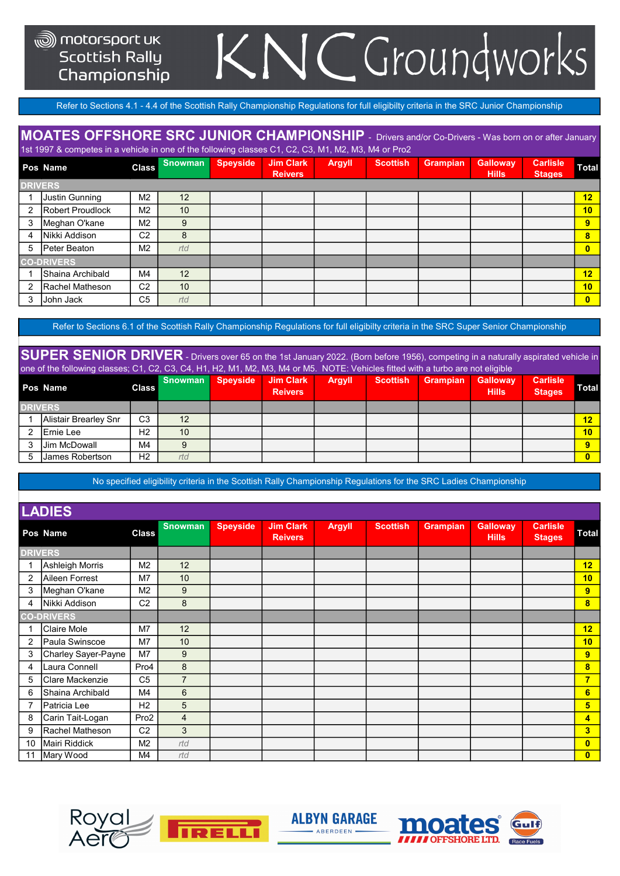#### **Scottish Rally** Championship

### NCGroundworks K.

Refer to Sections 4.1 - 4.4 of the Scottish Rally Championship Regulations for full eligibilty criteria in the SRC Junior Championship

#### MOATES OFFSHORE SRC JUNIOR CHAMPIONSHIP - Drivers and/or Co-Drivers - Was born on or after January

**Pos Snowman Speyside Jim Clark** Argyll Scottish Grampian **Carlisle** 1st 1997 & competes in a vehicle in one of the following classes C1, C2, C3, M1, M2, M3, M4 or Pro2

|                | Pos Name                | <b>Class</b>   | 000000000 | opeyorue | OIII<br><b>Reivers</b> | гчуун. | 00000011 | <b>URUILDIGIL</b> | <b>Sundway</b><br><b>Hills</b> | <b>Vallier</b><br><b>Stages</b> | Total    |
|----------------|-------------------------|----------------|-----------|----------|------------------------|--------|----------|-------------------|--------------------------------|---------------------------------|----------|
| <b>DRIVERS</b> |                         |                |           |          |                        |        |          |                   |                                |                                 |          |
|                | Justin Gunning          | M <sub>2</sub> | 12        |          |                        |        |          |                   |                                |                                 | 12       |
| 2              | <b>Robert Proudlock</b> | M <sub>2</sub> | 10        |          |                        |        |          |                   |                                |                                 | 10       |
|                | Meghan O'kane           | M <sub>2</sub> | 9         |          |                        |        |          |                   |                                |                                 | 9        |
| 4              | Nikki Addison           | C <sub>2</sub> | 8         |          |                        |        |          |                   |                                |                                 | 8        |
| 5              | Peter Beaton            | M <sub>2</sub> | rtd       |          |                        |        |          |                   |                                |                                 | $\bf{0}$ |
|                | <b>CO-DRIVERS</b>       |                |           |          |                        |        |          |                   |                                |                                 |          |
|                | IShaina Archibald       | M4             | 12        |          |                        |        |          |                   |                                |                                 | 12       |
| 2              | Rachel Matheson         | C <sub>2</sub> | 10        |          |                        |        |          |                   |                                |                                 | 10       |
|                | <b>John Jack</b>        | C <sub>5</sub> | rtd       |          |                        |        |          |                   |                                |                                 | $\bf{0}$ |

Refer to Sections 6.1 of the Scottish Rally Championship Regulations for full eligibilty criteria in the SRC Super Senior Championship

SUPER SENIOR DRIVER - Drivers over 65 on the 1st January 2022. (Born before 1956), competing in a naturally aspirated vehicle in one of the following classes; C1, C2, C3, C4, H1, H2, M1, M2, M3, M4 or M5. NOTE: Vehicles fitted with a turbo are not eligible

|                | Pos Name              | <b>Class</b>   | <b>Snowman</b>  | <b>Speyside</b> | <b>Jim Clark</b><br><b>Reivers</b> | <b>Argyll</b> | <b>Scottish</b> | <b>Grampian</b> | <b>Galloway</b><br><b>Hills</b> | <b>Carlisle</b><br><b>Stages</b> | <b>Total</b>    |
|----------------|-----------------------|----------------|-----------------|-----------------|------------------------------------|---------------|-----------------|-----------------|---------------------------------|----------------------------------|-----------------|
| <b>DRIVERS</b> |                       |                |                 |                 |                                    |               |                 |                 |                                 |                                  |                 |
|                | Alistair Brearley Snr | C <sub>3</sub> | 12              |                 |                                    |               |                 |                 |                                 |                                  | 12 <sub>2</sub> |
|                | <b>IErnie Lee</b>     | H <sub>2</sub> | 10 <sup>°</sup> |                 |                                    |               |                 |                 |                                 |                                  | 10 <sub>1</sub> |
|                | <b>Jim McDowall</b>   | M4             | 9               |                 |                                    |               |                 |                 |                                 |                                  | ō               |
|                | IJames Robertson      | H <sub>2</sub> | rtd             |                 |                                    |               |                 |                 |                                 |                                  | 0               |

No specified eligibility criteria in the Scottish Rally Championship Regulations for the SRC Ladies Championship

|                | <b>LADIES</b>       |                |                |                 |                                    |               |                 |                 |                                 |                                  |                |
|----------------|---------------------|----------------|----------------|-----------------|------------------------------------|---------------|-----------------|-----------------|---------------------------------|----------------------------------|----------------|
|                | Pos Name            | <b>Class</b>   | <b>Snowman</b> | <b>Speyside</b> | <b>Jim Clark</b><br><b>Reivers</b> | <b>Argyll</b> | <b>Scottish</b> | <b>Grampian</b> | <b>Galloway</b><br><b>Hills</b> | <b>Carlisle</b><br><b>Stages</b> | Total          |
| <b>DRIVERS</b> |                     |                |                |                 |                                    |               |                 |                 |                                 |                                  |                |
| 1              | Ashleigh Morris     | M <sub>2</sub> | 12             |                 |                                    |               |                 |                 |                                 |                                  | 12             |
| $\overline{2}$ | Aileen Forrest      | M7             | 10             |                 |                                    |               |                 |                 |                                 |                                  | 10             |
| 3              | Meghan O'kane       | M <sub>2</sub> | 9              |                 |                                    |               |                 |                 |                                 |                                  | 9              |
| 4              | Nikki Addison       | C <sub>2</sub> | 8              |                 |                                    |               |                 |                 |                                 |                                  | 8              |
|                | <b>CO-DRIVERS</b>   |                |                |                 |                                    |               |                 |                 |                                 |                                  |                |
|                | Claire Mole         | M7             | 12             |                 |                                    |               |                 |                 |                                 |                                  | 12             |
| $\overline{2}$ | Paula Swinscoe      | M7             | 10             |                 |                                    |               |                 |                 |                                 |                                  | 10             |
| 3              | Charley Sayer-Payne | M <sub>7</sub> | 9              |                 |                                    |               |                 |                 |                                 |                                  | 9              |
| 4              | Laura Connell       | Pro4           | 8              |                 |                                    |               |                 |                 |                                 |                                  | 8              |
| 5              | Clare Mackenzie     | C <sub>5</sub> | $\overline{7}$ |                 |                                    |               |                 |                 |                                 |                                  | $\overline{7}$ |
| 6              | Shaina Archibald    | M4             | 6              |                 |                                    |               |                 |                 |                                 |                                  | $6\phantom{1}$ |
| $\overline{7}$ | Patricia Lee        | H <sub>2</sub> | 5              |                 |                                    |               |                 |                 |                                 |                                  | $5\phantom{a}$ |
| 8              | Carin Tait-Logan    | Pro2           | $\overline{4}$ |                 |                                    |               |                 |                 |                                 |                                  | 4              |
| 9              | Rachel Matheson     | C <sub>2</sub> | 3              |                 |                                    |               |                 |                 |                                 |                                  | 3              |
| 10             | Mairi Riddick       | M <sub>2</sub> | rtd            |                 |                                    |               |                 |                 |                                 |                                  | $\bullet$      |
| 11             | Mary Wood           | M4             | rtd            |                 |                                    |               |                 |                 |                                 |                                  | $\bf{0}$       |





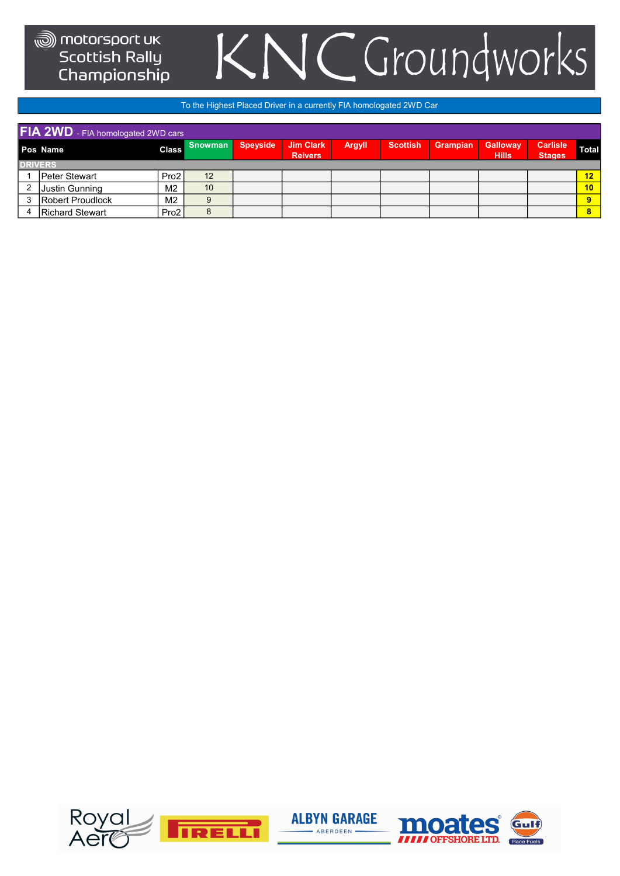### CGroundworks K

#### To the Highest Placed Driver in a currently FIA homologated 2WD Car

| FIA 2WD - FIA homologated 2WD cars |                |                |                 |                                    |        |                 |                 |                                 |                                  |              |  |  |  |
|------------------------------------|----------------|----------------|-----------------|------------------------------------|--------|-----------------|-----------------|---------------------------------|----------------------------------|--------------|--|--|--|
| Pos Name                           | <b>Class</b>   | <b>Snowman</b> | <b>Speyside</b> | <b>Jim Clark</b><br><b>Reivers</b> | Argyll | <b>Scottish</b> | <b>Grampian</b> | <b>Galloway</b><br><b>Hills</b> | <b>Carlisle</b><br><b>Stages</b> | <b>Total</b> |  |  |  |
| <b>DRIVERS</b>                     |                |                |                 |                                    |        |                 |                 |                                 |                                  |              |  |  |  |
| <b>Peter Stewart</b>               | Pro2           | 12             |                 |                                    |        |                 |                 |                                 |                                  | 12           |  |  |  |
| Justin Gunning                     | M <sub>2</sub> | 10             |                 |                                    |        |                 |                 |                                 |                                  | 10           |  |  |  |
| Robert Proudlock                   | M <sub>2</sub> | 9              |                 |                                    |        |                 |                 |                                 |                                  |              |  |  |  |
| <b>Richard Stewart</b>             | Pro2           | 8              |                 |                                    |        |                 |                 |                                 |                                  | 8            |  |  |  |

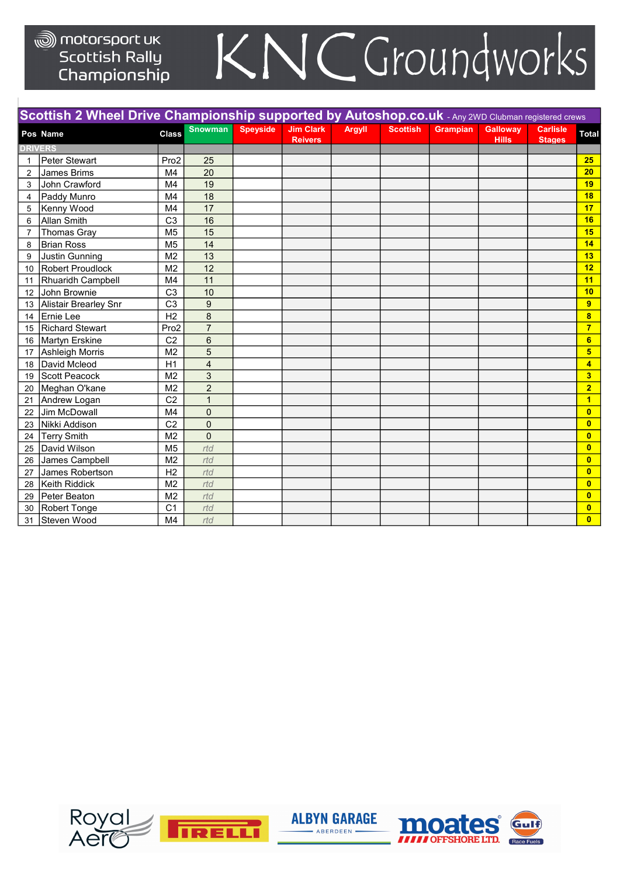|                | Scottish 2 Wheel Drive Championship supported by Autoshop.co.uk - Any 2WD Clubman registered crews |                  |                |                 |                                    |               |                 |                 |                                 |                                  |                         |
|----------------|----------------------------------------------------------------------------------------------------|------------------|----------------|-----------------|------------------------------------|---------------|-----------------|-----------------|---------------------------------|----------------------------------|-------------------------|
|                | Pos Name                                                                                           | <b>Class</b>     | <b>Snowman</b> | <b>Speyside</b> | <b>Jim Clark</b><br><b>Reivers</b> | <b>Argyll</b> | <b>Scottish</b> | <b>Grampian</b> | <b>Galloway</b><br><b>Hills</b> | <b>Carlisle</b><br><b>Stages</b> | <b>Total</b>            |
| <b>DRIVERS</b> |                                                                                                    |                  |                |                 |                                    |               |                 |                 |                                 |                                  |                         |
| $\mathbf{1}$   | <b>Peter Stewart</b>                                                                               | Pro <sub>2</sub> | 25             |                 |                                    |               |                 |                 |                                 |                                  | 25                      |
| 2              | James Brims                                                                                        | M4               | 20             |                 |                                    |               |                 |                 |                                 |                                  | 20                      |
| 3              | John Crawford                                                                                      | M <sub>4</sub>   | 19             |                 |                                    |               |                 |                 |                                 |                                  | 19                      |
| 4              | Paddy Munro                                                                                        | M4               | 18             |                 |                                    |               |                 |                 |                                 |                                  | 18                      |
| 5              | Kenny Wood                                                                                         | M4               | 17             |                 |                                    |               |                 |                 |                                 |                                  | 17                      |
| 6              | <b>Allan Smith</b>                                                                                 | C <sub>3</sub>   | 16             |                 |                                    |               |                 |                 |                                 |                                  | 16                      |
| 7              | <b>Thomas Gray</b>                                                                                 | M <sub>5</sub>   | 15             |                 |                                    |               |                 |                 |                                 |                                  | 15                      |
| 8              | <b>Brian Ross</b>                                                                                  | M <sub>5</sub>   | 14             |                 |                                    |               |                 |                 |                                 |                                  | 14                      |
| 9              | <b>Justin Gunning</b>                                                                              | M <sub>2</sub>   | 13             |                 |                                    |               |                 |                 |                                 |                                  | 13                      |
| 10             | <b>Robert Proudlock</b>                                                                            | M <sub>2</sub>   | 12             |                 |                                    |               |                 |                 |                                 |                                  | 12                      |
| 11             | Rhuaridh Campbell                                                                                  | M4               | 11             |                 |                                    |               |                 |                 |                                 |                                  | 11                      |
| 12             | John Brownie                                                                                       | C <sub>3</sub>   | 10             |                 |                                    |               |                 |                 |                                 |                                  | 10                      |
| 13             | <b>Alistair Brearley Snr</b>                                                                       | C <sub>3</sub>   | 9              |                 |                                    |               |                 |                 |                                 |                                  | $\overline{9}$          |
| 14             | Ernie Lee                                                                                          | H <sub>2</sub>   | 8              |                 |                                    |               |                 |                 |                                 |                                  | 8                       |
| 15             | <b>Richard Stewart</b>                                                                             | Pro2             | $\overline{7}$ |                 |                                    |               |                 |                 |                                 |                                  | $\overline{7}$          |
| 16             | <b>Martyn Erskine</b>                                                                              | C <sub>2</sub>   | 6              |                 |                                    |               |                 |                 |                                 |                                  | 6                       |
| 17             | <b>Ashleigh Morris</b>                                                                             | M <sub>2</sub>   | 5              |                 |                                    |               |                 |                 |                                 |                                  | 5 <sub>5</sub>          |
| 18             | David Mcleod                                                                                       | H1               | $\overline{4}$ |                 |                                    |               |                 |                 |                                 |                                  | $\overline{\mathbf{4}}$ |
| 19             | <b>Scott Peacock</b>                                                                               | M <sub>2</sub>   | 3              |                 |                                    |               |                 |                 |                                 |                                  | 3                       |
| 20             | Meghan O'kane                                                                                      | M <sub>2</sub>   | $\overline{c}$ |                 |                                    |               |                 |                 |                                 |                                  | $\overline{2}$          |
| 21             | Andrew Logan                                                                                       | C <sub>2</sub>   | $\mathbf{1}$   |                 |                                    |               |                 |                 |                                 |                                  | $\overline{1}$          |
| 22             | Jim McDowall                                                                                       | M <sub>4</sub>   | $\pmb{0}$      |                 |                                    |               |                 |                 |                                 |                                  | $\overline{0}$          |
| 23             | Nikki Addison                                                                                      | C <sub>2</sub>   | $\overline{0}$ |                 |                                    |               |                 |                 |                                 |                                  | $\mathbf{0}$            |
| 24             | <b>Terry Smith</b>                                                                                 | M <sub>2</sub>   | $\mathbf 0$    |                 |                                    |               |                 |                 |                                 |                                  | $\mathbf{0}$            |
| 25             | David Wilson                                                                                       | M <sub>5</sub>   | rtd            |                 |                                    |               |                 |                 |                                 |                                  | $\mathbf{0}$            |
| 26             | James Campbell                                                                                     | M <sub>2</sub>   | rtd            |                 |                                    |               |                 |                 |                                 |                                  | $\overline{0}$          |
| 27             | James Robertson                                                                                    | H <sub>2</sub>   | rtd            |                 |                                    |               |                 |                 |                                 |                                  | $\overline{0}$          |
| 28             | Keith Riddick                                                                                      | M <sub>2</sub>   | rtd            |                 |                                    |               |                 |                 |                                 |                                  | $\overline{\mathbf{0}}$ |
| 29             | Peter Beaton                                                                                       | M <sub>2</sub>   | rtd            |                 |                                    |               |                 |                 |                                 |                                  | $\mathbf{0}$            |
| 30             | <b>Robert Tonge</b>                                                                                | C <sub>1</sub>   | rtd            |                 |                                    |               |                 |                 |                                 |                                  | $\overline{0}$          |
| 31             | Steven Wood                                                                                        | M <sub>4</sub>   | rtd            |                 |                                    |               |                 |                 |                                 |                                  | $\mathbf{0}$            |





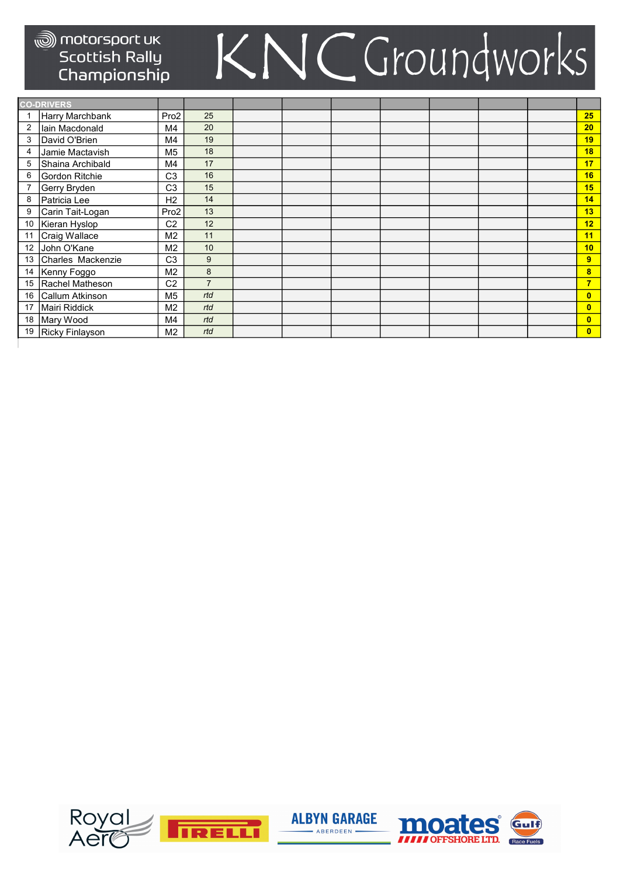|                | <b>CO-DRIVERS</b> |                  |                |  |  |  |                         |
|----------------|-------------------|------------------|----------------|--|--|--|-------------------------|
|                | Harry Marchbank   | Pro <sub>2</sub> | 25             |  |  |  | 25                      |
| $\overline{2}$ | lain Macdonald    | M4               | 20             |  |  |  | 20                      |
| 3              | David O'Brien     | M4               | 19             |  |  |  | 19                      |
| 4              | Jamie Mactavish   | M <sub>5</sub>   | 18             |  |  |  | 18                      |
| 5              | Shaina Archibald  | M4               | 17             |  |  |  | 17                      |
| 6              | Gordon Ritchie    | C <sub>3</sub>   | 16             |  |  |  | 16                      |
|                | Gerry Bryden      | C <sub>3</sub>   | 15             |  |  |  | 15                      |
| 8              | Patricia Lee      | H <sub>2</sub>   | 14             |  |  |  | 14                      |
| 9              | Carin Tait-Logan  | Pro <sub>2</sub> | 13             |  |  |  | 13                      |
| 10             | Kieran Hyslop     | C <sub>2</sub>   | 12             |  |  |  | 12                      |
| 11             | Craig Wallace     | M <sub>2</sub>   | 11             |  |  |  | 11                      |
| 12             | John O'Kane       | M <sub>2</sub>   | 10             |  |  |  | 10                      |
| 13             | Charles Mackenzie | C <sub>3</sub>   | 9              |  |  |  | $\overline{9}$          |
| 14             | Kenny Foggo       | M <sub>2</sub>   | $\bf 8$        |  |  |  | $\bf{8}$                |
| 15             | Rachel Matheson   | C <sub>2</sub>   | $\overline{7}$ |  |  |  | $\overline{7}$          |
| 16             | Callum Atkinson   | M <sub>5</sub>   | rtd            |  |  |  | $\bf{0}$                |
| 17             | Mairi Riddick     | M <sub>2</sub>   | rtd            |  |  |  | $\mathbf{0}$            |
| 18             | Mary Wood         | M4               | rtd            |  |  |  | $\overline{\mathbf{0}}$ |
| 19             | Ricky Finlayson   | M <sub>2</sub>   | rtd            |  |  |  | $\overline{\mathbf{0}}$ |





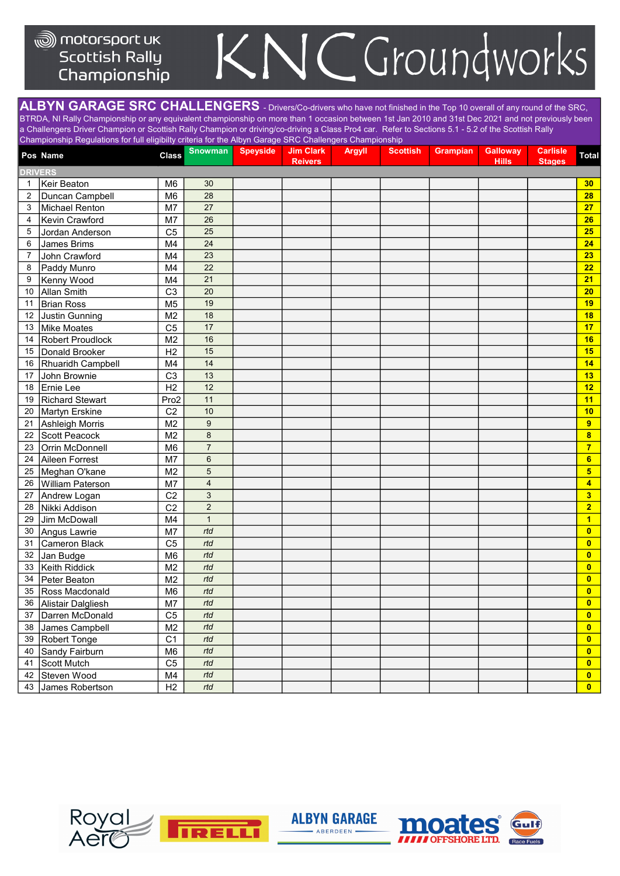#### <sub>®</sub> motorsport uk **Scottish Rally** Championship

### C Groundworks K

ALBYN GARAGE SRC CHALLENGERS - Drivers/Co-drivers who have not finished in the Top 10 overall of any round of the SRC, BTRDA, NI Rally Championship or any equivalent championship on more than 1 occasion between 1st Jan 2010 and 31st Dec 2021 and not previously been a Challengers Driver Champion or Scottish Rally Champion or driving/co-driving a Class Pro4 car. Refer to Sections 5.1 - 5.2 of the Scottish Rally Championship Regulations for full eligibilty criteria for the Albyn Garage SRC Challengers Championship

| <b>DRIVERS</b><br>30<br>Keir Beaton<br>M <sub>6</sub><br>$\mathbf{1}$<br>M <sub>6</sub><br>28<br>2<br>Duncan Campbell<br>27<br>Michael Renton<br>M7<br>3<br>26<br>Kevin Crawford<br>M7<br>4<br>C <sub>5</sub><br>25<br>Jordan Anderson<br>5<br>24<br>6<br>James Brims<br>M4<br>23<br>$\overline{7}$<br>John Crawford<br>M4<br>22<br>M4<br>Paddy Munro<br>8<br>21<br>Kenny Wood<br>M4<br>9<br>$\overline{C3}$<br>20<br>Allan Smith<br>10<br>19<br>Brian Ross<br>M <sub>5</sub><br>11<br>M <sub>2</sub><br>18<br>Justin Gunning<br>12<br>C <sub>5</sub><br>17<br>13<br>Mike Moates<br>Robert Proudlock<br>M <sub>2</sub><br>16<br>14<br>H <sub>2</sub><br>15<br>Donald Brooker<br>15<br>14<br>Rhuaridh Campbell<br>M4<br>16<br>C <sub>3</sub><br>John Brownie<br>13<br>17<br>12<br>Ernie Lee<br>H2<br>18<br>11<br><b>Richard Stewart</b><br>Pro2<br>19<br>C <sub>2</sub><br>10<br>20<br>Martyn Erskine<br>M <sub>2</sub><br>$\boldsymbol{9}$<br>Ashleigh Morris<br>9<br>21<br>8<br>M <sub>2</sub><br>$\overline{\mathbf{8}}$<br>22<br>Scott Peacock<br>M <sub>6</sub><br>$\overline{7}$<br>23<br>Orrin McDonnell<br>$\overline{7}$<br>M7<br>6<br>Aileen Forrest<br>$6\phantom{a}$<br>24<br>5<br>$5\phantom{a}$<br>Meghan O'kane<br>M <sub>2</sub><br>25<br>$\overline{\mathbf{4}}$<br>M7<br>William Paterson<br>4<br>26<br>C <sub>2</sub><br>3<br>Andrew Logan<br>3<br>27<br>$\overline{c}$<br>C <sub>2</sub><br>$\overline{2}$<br>28<br>Nikki Addison<br>Jim McDowall<br>$\mathbf{1}$<br>29<br>M4<br>$\mathbf{1}$<br>rtd<br>Angus Lawrie<br>M7<br>$\bullet$<br>30<br>Cameron Black<br>C <sub>5</sub><br>rtd<br>$\bullet$<br>31<br>rtd<br>M <sub>6</sub><br>$\mathbf{0}$<br>32<br>Jan Budge<br>Keith Riddick<br>M <sub>2</sub><br>rtd<br>$\mathbf{0}$<br>33<br>rtd<br>M <sub>2</sub><br>$\mathbf{0}$<br>34<br>Peter Beaton<br>rtd<br>35<br>Ross Macdonald<br>M <sub>6</sub><br>$\mathbf{0}$<br>M7<br>rtd<br>$\mathbf{0}$<br>Alistair Dalgliesh<br>36<br>C <sub>5</sub><br>Darren McDonald<br>rtd<br>$\mathbf{0}$<br>37<br>rtd<br>M <sub>2</sub><br>James Campbell<br>$\bullet$<br>38<br>Robert Tonge<br>C <sub>1</sub><br>rtd<br>$\bullet$<br>39 |    | championomp regulations for fair originary ontona for the rite ringer catago of to ontainongolo ontampfortamp<br>Pos Name | <b>Class</b>   | <b>Snowman</b> | <b>Speyside</b> | <b>Jim Clark</b><br><b>Reivers</b> | <b>Argyll</b> | <b>Scottish</b> | <b>Grampian</b> | <b>Galloway</b><br><b>Hills</b> | <b>Carlisle</b><br><b>Stages</b> | <b>Total</b> |
|------------------------------------------------------------------------------------------------------------------------------------------------------------------------------------------------------------------------------------------------------------------------------------------------------------------------------------------------------------------------------------------------------------------------------------------------------------------------------------------------------------------------------------------------------------------------------------------------------------------------------------------------------------------------------------------------------------------------------------------------------------------------------------------------------------------------------------------------------------------------------------------------------------------------------------------------------------------------------------------------------------------------------------------------------------------------------------------------------------------------------------------------------------------------------------------------------------------------------------------------------------------------------------------------------------------------------------------------------------------------------------------------------------------------------------------------------------------------------------------------------------------------------------------------------------------------------------------------------------------------------------------------------------------------------------------------------------------------------------------------------------------------------------------------------------------------------------------------------------------------------------------------------------------------------------------------------------------------------------------------------------------------------------------------------------------------------------------------------------------------------------------------|----|---------------------------------------------------------------------------------------------------------------------------|----------------|----------------|-----------------|------------------------------------|---------------|-----------------|-----------------|---------------------------------|----------------------------------|--------------|
|                                                                                                                                                                                                                                                                                                                                                                                                                                                                                                                                                                                                                                                                                                                                                                                                                                                                                                                                                                                                                                                                                                                                                                                                                                                                                                                                                                                                                                                                                                                                                                                                                                                                                                                                                                                                                                                                                                                                                                                                                                                                                                                                                |    |                                                                                                                           |                |                |                 |                                    |               |                 |                 |                                 |                                  |              |
|                                                                                                                                                                                                                                                                                                                                                                                                                                                                                                                                                                                                                                                                                                                                                                                                                                                                                                                                                                                                                                                                                                                                                                                                                                                                                                                                                                                                                                                                                                                                                                                                                                                                                                                                                                                                                                                                                                                                                                                                                                                                                                                                                |    |                                                                                                                           |                |                |                 |                                    |               |                 |                 |                                 |                                  | 30           |
|                                                                                                                                                                                                                                                                                                                                                                                                                                                                                                                                                                                                                                                                                                                                                                                                                                                                                                                                                                                                                                                                                                                                                                                                                                                                                                                                                                                                                                                                                                                                                                                                                                                                                                                                                                                                                                                                                                                                                                                                                                                                                                                                                |    |                                                                                                                           |                |                |                 |                                    |               |                 |                 |                                 |                                  | 28           |
|                                                                                                                                                                                                                                                                                                                                                                                                                                                                                                                                                                                                                                                                                                                                                                                                                                                                                                                                                                                                                                                                                                                                                                                                                                                                                                                                                                                                                                                                                                                                                                                                                                                                                                                                                                                                                                                                                                                                                                                                                                                                                                                                                |    |                                                                                                                           |                |                |                 |                                    |               |                 |                 |                                 |                                  | 27           |
|                                                                                                                                                                                                                                                                                                                                                                                                                                                                                                                                                                                                                                                                                                                                                                                                                                                                                                                                                                                                                                                                                                                                                                                                                                                                                                                                                                                                                                                                                                                                                                                                                                                                                                                                                                                                                                                                                                                                                                                                                                                                                                                                                |    |                                                                                                                           |                |                |                 |                                    |               |                 |                 |                                 |                                  | 26           |
|                                                                                                                                                                                                                                                                                                                                                                                                                                                                                                                                                                                                                                                                                                                                                                                                                                                                                                                                                                                                                                                                                                                                                                                                                                                                                                                                                                                                                                                                                                                                                                                                                                                                                                                                                                                                                                                                                                                                                                                                                                                                                                                                                |    |                                                                                                                           |                |                |                 |                                    |               |                 |                 |                                 |                                  | 25           |
|                                                                                                                                                                                                                                                                                                                                                                                                                                                                                                                                                                                                                                                                                                                                                                                                                                                                                                                                                                                                                                                                                                                                                                                                                                                                                                                                                                                                                                                                                                                                                                                                                                                                                                                                                                                                                                                                                                                                                                                                                                                                                                                                                |    |                                                                                                                           |                |                |                 |                                    |               |                 |                 |                                 |                                  | 24           |
|                                                                                                                                                                                                                                                                                                                                                                                                                                                                                                                                                                                                                                                                                                                                                                                                                                                                                                                                                                                                                                                                                                                                                                                                                                                                                                                                                                                                                                                                                                                                                                                                                                                                                                                                                                                                                                                                                                                                                                                                                                                                                                                                                |    |                                                                                                                           |                |                |                 |                                    |               |                 |                 |                                 |                                  | 23           |
|                                                                                                                                                                                                                                                                                                                                                                                                                                                                                                                                                                                                                                                                                                                                                                                                                                                                                                                                                                                                                                                                                                                                                                                                                                                                                                                                                                                                                                                                                                                                                                                                                                                                                                                                                                                                                                                                                                                                                                                                                                                                                                                                                |    |                                                                                                                           |                |                |                 |                                    |               |                 |                 |                                 |                                  | 22           |
|                                                                                                                                                                                                                                                                                                                                                                                                                                                                                                                                                                                                                                                                                                                                                                                                                                                                                                                                                                                                                                                                                                                                                                                                                                                                                                                                                                                                                                                                                                                                                                                                                                                                                                                                                                                                                                                                                                                                                                                                                                                                                                                                                |    |                                                                                                                           |                |                |                 |                                    |               |                 |                 |                                 |                                  | 21           |
|                                                                                                                                                                                                                                                                                                                                                                                                                                                                                                                                                                                                                                                                                                                                                                                                                                                                                                                                                                                                                                                                                                                                                                                                                                                                                                                                                                                                                                                                                                                                                                                                                                                                                                                                                                                                                                                                                                                                                                                                                                                                                                                                                |    |                                                                                                                           |                |                |                 |                                    |               |                 |                 |                                 |                                  | 20           |
|                                                                                                                                                                                                                                                                                                                                                                                                                                                                                                                                                                                                                                                                                                                                                                                                                                                                                                                                                                                                                                                                                                                                                                                                                                                                                                                                                                                                                                                                                                                                                                                                                                                                                                                                                                                                                                                                                                                                                                                                                                                                                                                                                |    |                                                                                                                           |                |                |                 |                                    |               |                 |                 |                                 |                                  | 19           |
|                                                                                                                                                                                                                                                                                                                                                                                                                                                                                                                                                                                                                                                                                                                                                                                                                                                                                                                                                                                                                                                                                                                                                                                                                                                                                                                                                                                                                                                                                                                                                                                                                                                                                                                                                                                                                                                                                                                                                                                                                                                                                                                                                |    |                                                                                                                           |                |                |                 |                                    |               |                 |                 |                                 |                                  | 18           |
|                                                                                                                                                                                                                                                                                                                                                                                                                                                                                                                                                                                                                                                                                                                                                                                                                                                                                                                                                                                                                                                                                                                                                                                                                                                                                                                                                                                                                                                                                                                                                                                                                                                                                                                                                                                                                                                                                                                                                                                                                                                                                                                                                |    |                                                                                                                           |                |                |                 |                                    |               |                 |                 |                                 |                                  | 17           |
|                                                                                                                                                                                                                                                                                                                                                                                                                                                                                                                                                                                                                                                                                                                                                                                                                                                                                                                                                                                                                                                                                                                                                                                                                                                                                                                                                                                                                                                                                                                                                                                                                                                                                                                                                                                                                                                                                                                                                                                                                                                                                                                                                |    |                                                                                                                           |                |                |                 |                                    |               |                 |                 |                                 |                                  | 16           |
|                                                                                                                                                                                                                                                                                                                                                                                                                                                                                                                                                                                                                                                                                                                                                                                                                                                                                                                                                                                                                                                                                                                                                                                                                                                                                                                                                                                                                                                                                                                                                                                                                                                                                                                                                                                                                                                                                                                                                                                                                                                                                                                                                |    |                                                                                                                           |                |                |                 |                                    |               |                 |                 |                                 |                                  | 15           |
|                                                                                                                                                                                                                                                                                                                                                                                                                                                                                                                                                                                                                                                                                                                                                                                                                                                                                                                                                                                                                                                                                                                                                                                                                                                                                                                                                                                                                                                                                                                                                                                                                                                                                                                                                                                                                                                                                                                                                                                                                                                                                                                                                |    |                                                                                                                           |                |                |                 |                                    |               |                 |                 |                                 |                                  | 14           |
|                                                                                                                                                                                                                                                                                                                                                                                                                                                                                                                                                                                                                                                                                                                                                                                                                                                                                                                                                                                                                                                                                                                                                                                                                                                                                                                                                                                                                                                                                                                                                                                                                                                                                                                                                                                                                                                                                                                                                                                                                                                                                                                                                |    |                                                                                                                           |                |                |                 |                                    |               |                 |                 |                                 |                                  | 13           |
|                                                                                                                                                                                                                                                                                                                                                                                                                                                                                                                                                                                                                                                                                                                                                                                                                                                                                                                                                                                                                                                                                                                                                                                                                                                                                                                                                                                                                                                                                                                                                                                                                                                                                                                                                                                                                                                                                                                                                                                                                                                                                                                                                |    |                                                                                                                           |                |                |                 |                                    |               |                 |                 |                                 |                                  | 12           |
|                                                                                                                                                                                                                                                                                                                                                                                                                                                                                                                                                                                                                                                                                                                                                                                                                                                                                                                                                                                                                                                                                                                                                                                                                                                                                                                                                                                                                                                                                                                                                                                                                                                                                                                                                                                                                                                                                                                                                                                                                                                                                                                                                |    |                                                                                                                           |                |                |                 |                                    |               |                 |                 |                                 |                                  | 11           |
|                                                                                                                                                                                                                                                                                                                                                                                                                                                                                                                                                                                                                                                                                                                                                                                                                                                                                                                                                                                                                                                                                                                                                                                                                                                                                                                                                                                                                                                                                                                                                                                                                                                                                                                                                                                                                                                                                                                                                                                                                                                                                                                                                |    |                                                                                                                           |                |                |                 |                                    |               |                 |                 |                                 |                                  | 10           |
|                                                                                                                                                                                                                                                                                                                                                                                                                                                                                                                                                                                                                                                                                                                                                                                                                                                                                                                                                                                                                                                                                                                                                                                                                                                                                                                                                                                                                                                                                                                                                                                                                                                                                                                                                                                                                                                                                                                                                                                                                                                                                                                                                |    |                                                                                                                           |                |                |                 |                                    |               |                 |                 |                                 |                                  |              |
|                                                                                                                                                                                                                                                                                                                                                                                                                                                                                                                                                                                                                                                                                                                                                                                                                                                                                                                                                                                                                                                                                                                                                                                                                                                                                                                                                                                                                                                                                                                                                                                                                                                                                                                                                                                                                                                                                                                                                                                                                                                                                                                                                |    |                                                                                                                           |                |                |                 |                                    |               |                 |                 |                                 |                                  |              |
|                                                                                                                                                                                                                                                                                                                                                                                                                                                                                                                                                                                                                                                                                                                                                                                                                                                                                                                                                                                                                                                                                                                                                                                                                                                                                                                                                                                                                                                                                                                                                                                                                                                                                                                                                                                                                                                                                                                                                                                                                                                                                                                                                |    |                                                                                                                           |                |                |                 |                                    |               |                 |                 |                                 |                                  |              |
|                                                                                                                                                                                                                                                                                                                                                                                                                                                                                                                                                                                                                                                                                                                                                                                                                                                                                                                                                                                                                                                                                                                                                                                                                                                                                                                                                                                                                                                                                                                                                                                                                                                                                                                                                                                                                                                                                                                                                                                                                                                                                                                                                |    |                                                                                                                           |                |                |                 |                                    |               |                 |                 |                                 |                                  |              |
|                                                                                                                                                                                                                                                                                                                                                                                                                                                                                                                                                                                                                                                                                                                                                                                                                                                                                                                                                                                                                                                                                                                                                                                                                                                                                                                                                                                                                                                                                                                                                                                                                                                                                                                                                                                                                                                                                                                                                                                                                                                                                                                                                |    |                                                                                                                           |                |                |                 |                                    |               |                 |                 |                                 |                                  |              |
|                                                                                                                                                                                                                                                                                                                                                                                                                                                                                                                                                                                                                                                                                                                                                                                                                                                                                                                                                                                                                                                                                                                                                                                                                                                                                                                                                                                                                                                                                                                                                                                                                                                                                                                                                                                                                                                                                                                                                                                                                                                                                                                                                |    |                                                                                                                           |                |                |                 |                                    |               |                 |                 |                                 |                                  |              |
|                                                                                                                                                                                                                                                                                                                                                                                                                                                                                                                                                                                                                                                                                                                                                                                                                                                                                                                                                                                                                                                                                                                                                                                                                                                                                                                                                                                                                                                                                                                                                                                                                                                                                                                                                                                                                                                                                                                                                                                                                                                                                                                                                |    |                                                                                                                           |                |                |                 |                                    |               |                 |                 |                                 |                                  |              |
|                                                                                                                                                                                                                                                                                                                                                                                                                                                                                                                                                                                                                                                                                                                                                                                                                                                                                                                                                                                                                                                                                                                                                                                                                                                                                                                                                                                                                                                                                                                                                                                                                                                                                                                                                                                                                                                                                                                                                                                                                                                                                                                                                |    |                                                                                                                           |                |                |                 |                                    |               |                 |                 |                                 |                                  |              |
|                                                                                                                                                                                                                                                                                                                                                                                                                                                                                                                                                                                                                                                                                                                                                                                                                                                                                                                                                                                                                                                                                                                                                                                                                                                                                                                                                                                                                                                                                                                                                                                                                                                                                                                                                                                                                                                                                                                                                                                                                                                                                                                                                |    |                                                                                                                           |                |                |                 |                                    |               |                 |                 |                                 |                                  |              |
|                                                                                                                                                                                                                                                                                                                                                                                                                                                                                                                                                                                                                                                                                                                                                                                                                                                                                                                                                                                                                                                                                                                                                                                                                                                                                                                                                                                                                                                                                                                                                                                                                                                                                                                                                                                                                                                                                                                                                                                                                                                                                                                                                |    |                                                                                                                           |                |                |                 |                                    |               |                 |                 |                                 |                                  |              |
|                                                                                                                                                                                                                                                                                                                                                                                                                                                                                                                                                                                                                                                                                                                                                                                                                                                                                                                                                                                                                                                                                                                                                                                                                                                                                                                                                                                                                                                                                                                                                                                                                                                                                                                                                                                                                                                                                                                                                                                                                                                                                                                                                |    |                                                                                                                           |                |                |                 |                                    |               |                 |                 |                                 |                                  |              |
|                                                                                                                                                                                                                                                                                                                                                                                                                                                                                                                                                                                                                                                                                                                                                                                                                                                                                                                                                                                                                                                                                                                                                                                                                                                                                                                                                                                                                                                                                                                                                                                                                                                                                                                                                                                                                                                                                                                                                                                                                                                                                                                                                |    |                                                                                                                           |                |                |                 |                                    |               |                 |                 |                                 |                                  |              |
|                                                                                                                                                                                                                                                                                                                                                                                                                                                                                                                                                                                                                                                                                                                                                                                                                                                                                                                                                                                                                                                                                                                                                                                                                                                                                                                                                                                                                                                                                                                                                                                                                                                                                                                                                                                                                                                                                                                                                                                                                                                                                                                                                |    |                                                                                                                           |                |                |                 |                                    |               |                 |                 |                                 |                                  |              |
|                                                                                                                                                                                                                                                                                                                                                                                                                                                                                                                                                                                                                                                                                                                                                                                                                                                                                                                                                                                                                                                                                                                                                                                                                                                                                                                                                                                                                                                                                                                                                                                                                                                                                                                                                                                                                                                                                                                                                                                                                                                                                                                                                |    |                                                                                                                           |                |                |                 |                                    |               |                 |                 |                                 |                                  |              |
|                                                                                                                                                                                                                                                                                                                                                                                                                                                                                                                                                                                                                                                                                                                                                                                                                                                                                                                                                                                                                                                                                                                                                                                                                                                                                                                                                                                                                                                                                                                                                                                                                                                                                                                                                                                                                                                                                                                                                                                                                                                                                                                                                |    |                                                                                                                           |                |                |                 |                                    |               |                 |                 |                                 |                                  |              |
|                                                                                                                                                                                                                                                                                                                                                                                                                                                                                                                                                                                                                                                                                                                                                                                                                                                                                                                                                                                                                                                                                                                                                                                                                                                                                                                                                                                                                                                                                                                                                                                                                                                                                                                                                                                                                                                                                                                                                                                                                                                                                                                                                |    |                                                                                                                           |                |                |                 |                                    |               |                 |                 |                                 |                                  |              |
|                                                                                                                                                                                                                                                                                                                                                                                                                                                                                                                                                                                                                                                                                                                                                                                                                                                                                                                                                                                                                                                                                                                                                                                                                                                                                                                                                                                                                                                                                                                                                                                                                                                                                                                                                                                                                                                                                                                                                                                                                                                                                                                                                |    |                                                                                                                           |                |                |                 |                                    |               |                 |                 |                                 |                                  |              |
|                                                                                                                                                                                                                                                                                                                                                                                                                                                                                                                                                                                                                                                                                                                                                                                                                                                                                                                                                                                                                                                                                                                                                                                                                                                                                                                                                                                                                                                                                                                                                                                                                                                                                                                                                                                                                                                                                                                                                                                                                                                                                                                                                |    |                                                                                                                           |                |                |                 |                                    |               |                 |                 |                                 |                                  |              |
|                                                                                                                                                                                                                                                                                                                                                                                                                                                                                                                                                                                                                                                                                                                                                                                                                                                                                                                                                                                                                                                                                                                                                                                                                                                                                                                                                                                                                                                                                                                                                                                                                                                                                                                                                                                                                                                                                                                                                                                                                                                                                                                                                |    |                                                                                                                           |                |                |                 |                                    |               |                 |                 |                                 |                                  |              |
|                                                                                                                                                                                                                                                                                                                                                                                                                                                                                                                                                                                                                                                                                                                                                                                                                                                                                                                                                                                                                                                                                                                                                                                                                                                                                                                                                                                                                                                                                                                                                                                                                                                                                                                                                                                                                                                                                                                                                                                                                                                                                                                                                | 40 | Sandy Fairburn                                                                                                            | M <sub>6</sub> | rtd            |                 |                                    |               |                 |                 |                                 |                                  | $\bullet$    |
| C <sub>5</sub><br>rtd<br>Scott Mutch<br>41                                                                                                                                                                                                                                                                                                                                                                                                                                                                                                                                                                                                                                                                                                                                                                                                                                                                                                                                                                                                                                                                                                                                                                                                                                                                                                                                                                                                                                                                                                                                                                                                                                                                                                                                                                                                                                                                                                                                                                                                                                                                                                     |    |                                                                                                                           |                |                |                 |                                    |               |                 |                 |                                 |                                  | $\bullet$    |
| rtd<br>Steven Wood<br>M4<br>$\bullet$<br>42                                                                                                                                                                                                                                                                                                                                                                                                                                                                                                                                                                                                                                                                                                                                                                                                                                                                                                                                                                                                                                                                                                                                                                                                                                                                                                                                                                                                                                                                                                                                                                                                                                                                                                                                                                                                                                                                                                                                                                                                                                                                                                    |    |                                                                                                                           |                |                |                 |                                    |               |                 |                 |                                 |                                  |              |
| H2<br>rtd<br>James Robertson<br>43                                                                                                                                                                                                                                                                                                                                                                                                                                                                                                                                                                                                                                                                                                                                                                                                                                                                                                                                                                                                                                                                                                                                                                                                                                                                                                                                                                                                                                                                                                                                                                                                                                                                                                                                                                                                                                                                                                                                                                                                                                                                                                             |    |                                                                                                                           |                |                |                 |                                    |               |                 |                 |                                 |                                  | $\bullet$    |





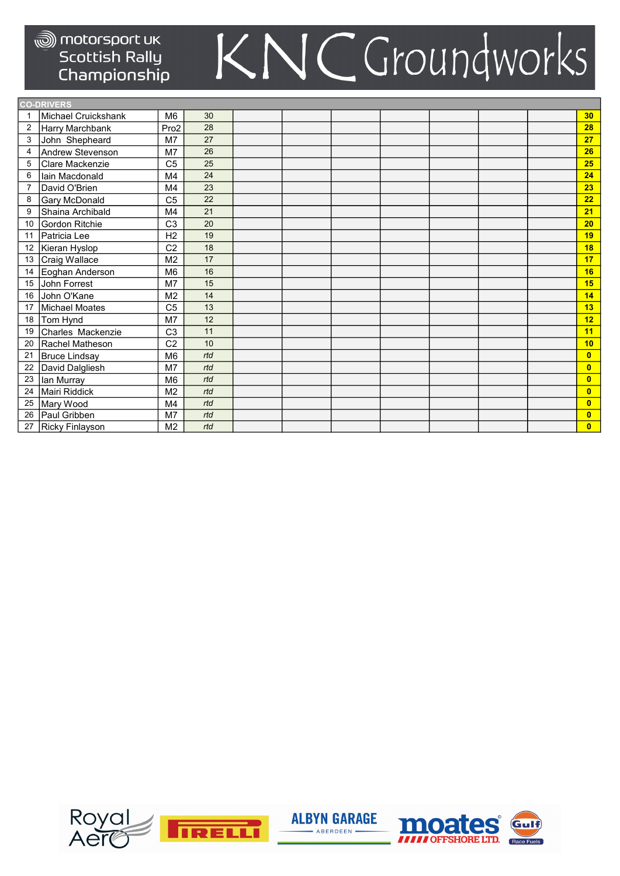|                | <b>CO-DRIVERS</b>   |                  |     |  |  |  |                         |
|----------------|---------------------|------------------|-----|--|--|--|-------------------------|
| -1             | Michael Cruickshank | M <sub>6</sub>   | 30  |  |  |  | 30 <sub>2</sub>         |
| $\overline{2}$ | Harry Marchbank     | Pro <sub>2</sub> | 28  |  |  |  | 28                      |
| 3              | John Shepheard      | M <sub>7</sub>   | 27  |  |  |  | 27                      |
| 4              | Andrew Stevenson    | M <sub>7</sub>   | 26  |  |  |  | 26                      |
| 5              | Clare Mackenzie     | C <sub>5</sub>   | 25  |  |  |  | 25                      |
| 6              | lain Macdonald      | M <sub>4</sub>   | 24  |  |  |  | 24                      |
| 7              | David O'Brien       | M <sub>4</sub>   | 23  |  |  |  | 23                      |
| 8              | Gary McDonald       | C <sub>5</sub>   | 22  |  |  |  | 22                      |
| 9              | Shaina Archibald    | M <sub>4</sub>   | 21  |  |  |  | 21                      |
| 10             | Gordon Ritchie      | C <sub>3</sub>   | 20  |  |  |  | 20                      |
| 11             | Patricia Lee        | H <sub>2</sub>   | 19  |  |  |  | 19                      |
| 12             | Kieran Hyslop       | C <sub>2</sub>   | 18  |  |  |  | 18                      |
| 13             | Craig Wallace       | M <sub>2</sub>   | 17  |  |  |  | 17                      |
| 14             | Eoghan Anderson     | M <sub>6</sub>   | 16  |  |  |  | 16                      |
| 15             | John Forrest        | M7               | 15  |  |  |  | 15                      |
| 16             | John O'Kane         | M <sub>2</sub>   | 14  |  |  |  | 14                      |
| 17             | Michael Moates      | C <sub>5</sub>   | 13  |  |  |  | 13                      |
| 18             | Tom Hynd            | M7               | 12  |  |  |  | 12 <sub>2</sub>         |
| 19             | Charles Mackenzie   | C <sub>3</sub>   | 11  |  |  |  | 11                      |
| 20             | Rachel Matheson     | C <sub>2</sub>   | 10  |  |  |  | 10                      |
| 21             | Bruce Lindsay       | M <sub>6</sub>   | rtd |  |  |  | $\overline{0}$          |
| 22             | David Dalgliesh     | M <sub>7</sub>   | rtd |  |  |  | $\overline{\mathbf{0}}$ |
| 23             | lan Murray          | M <sub>6</sub>   | rtd |  |  |  | $\mathbf{0}$            |
| 24             | Mairi Riddick       | M <sub>2</sub>   | rtd |  |  |  | $\mathbf{0}$            |
| 25             | Mary Wood           | M <sub>4</sub>   | rtd |  |  |  | $\mathbf{0}$            |
| 26             | Paul Gribben        | M7               | rtd |  |  |  | $\overline{0}$          |
| 27             | Ricky Finlayson     | M <sub>2</sub>   | rtd |  |  |  | $\mathbf{0}$            |





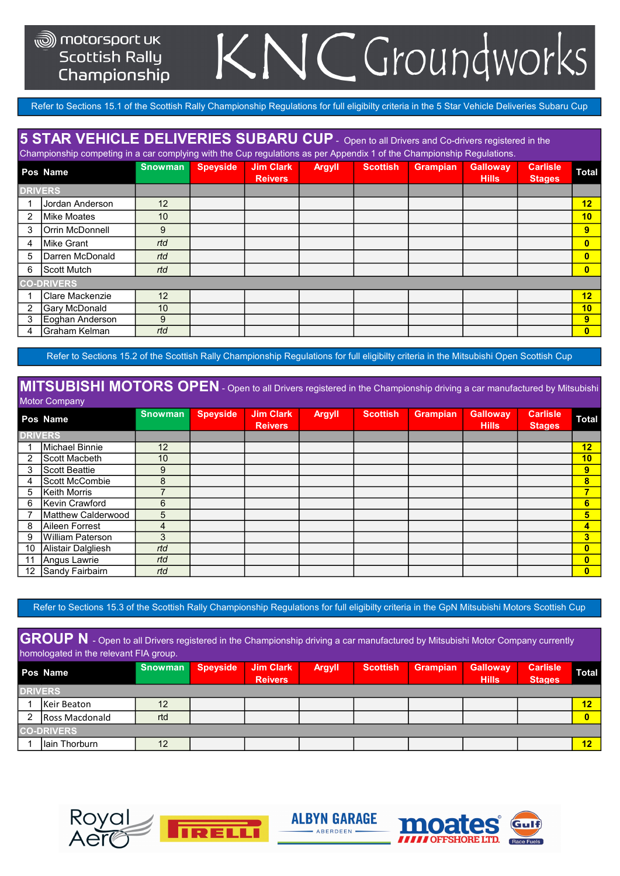## NCGroundworks

Refer to Sections 15.1 of the Scottish Rally Championship Regulations for full eligibilty criteria in the 5 Star Vehicle Deliveries Subaru Cup

### 5 STAR VEHICLE DELIVERIES SUBARU CUP - Open to all Drivers and Co-drivers registered in the

Championship competing in a car complying with the Cup regulations as per Appendix 1 of the Championship Regulations.

|                | Pos Name                | <b>Snowman</b>  | <b>Speyside</b> | Jim Clark<br><b>Reivers</b> | <b>Argyll</b> | <b>Scottish</b> | <b>Grampian</b> | <b>Galloway</b><br><b>Hills</b> | <b>Carlisle</b><br><b>Stages</b> | <b>Total</b>   |
|----------------|-------------------------|-----------------|-----------------|-----------------------------|---------------|-----------------|-----------------|---------------------------------|----------------------------------|----------------|
| <b>DRIVERS</b> |                         |                 |                 |                             |               |                 |                 |                                 |                                  |                |
|                | Jordan Anderson         | 12              |                 |                             |               |                 |                 |                                 |                                  | 12             |
| 2              | <b>Mike Moates</b>      | 10              |                 |                             |               |                 |                 |                                 |                                  | 10             |
| 3              | Orrin McDonnell         | 9               |                 |                             |               |                 |                 |                                 |                                  | 9              |
| 4              | Mike Grant              | rtd             |                 |                             |               |                 |                 |                                 |                                  | $\overline{0}$ |
| 5              | <b>IDarren McDonald</b> | rtd             |                 |                             |               |                 |                 |                                 |                                  | $\overline{0}$ |
| 6              | Scott Mutch             | rtd             |                 |                             |               |                 |                 |                                 |                                  | $\overline{0}$ |
|                | <b>CO-DRIVERS</b>       |                 |                 |                             |               |                 |                 |                                 |                                  |                |
|                | Clare Mackenzie         | 12              |                 |                             |               |                 |                 |                                 |                                  | 12             |
| 2              | Gary McDonald           | 10 <sup>°</sup> |                 |                             |               |                 |                 |                                 |                                  | 10             |
| 3              | Eoghan Anderson         | 9               |                 |                             |               |                 |                 |                                 |                                  | 9              |
| 4              | İGraham Kelman          | rtd             |                 |                             |               |                 |                 |                                 |                                  | $\overline{0}$ |

Refer to Sections 15.2 of the Scottish Rally Championship Regulations for full eligibilty criteria in the Mitsubishi Open Scottish Cup

#### MITSUBISHI MOTORS OPEN - Open to all Drivers registered in the Championship driving a car manufactured by Mitsubishi Motor Company

|                | Pos Name             | <b>Snowman</b> | <b>Speyside</b> | <b>Jim Clark</b><br><b>Reivers</b> | <b>Argyll</b> | <b>Scottish</b> | Grampian | <b>Galloway</b><br><b>Hills</b> | <b>Carlisle</b><br><b>Stages</b> | <b>Total</b>   |
|----------------|----------------------|----------------|-----------------|------------------------------------|---------------|-----------------|----------|---------------------------------|----------------------------------|----------------|
| <b>DRIVERS</b> |                      |                |                 |                                    |               |                 |          |                                 |                                  |                |
|                | Michael Binnie       | 12             |                 |                                    |               |                 |          |                                 |                                  | 12             |
|                | Scott Macbeth        | 10             |                 |                                    |               |                 |          |                                 |                                  | 10             |
| 3              | <b>Scott Beattie</b> | 9              |                 |                                    |               |                 |          |                                 |                                  | 9              |
| 4              | Scott McCombie       | 8              |                 |                                    |               |                 |          |                                 |                                  | 8              |
| 5              | Keith Morris         |                |                 |                                    |               |                 |          |                                 |                                  | 7              |
| 6              | Kevin Crawford       | 6              |                 |                                    |               |                 |          |                                 |                                  | 6              |
|                | Matthew Calderwood   | 5              |                 |                                    |               |                 |          |                                 |                                  | 5              |
| 8              | Aileen Forrest       | 4              |                 |                                    |               |                 |          |                                 |                                  | $\overline{4}$ |
| 9              | William Paterson     | 3              |                 |                                    |               |                 |          |                                 |                                  | 3              |
| 10             | Alistair Dalgliesh   | rtd            |                 |                                    |               |                 |          |                                 |                                  | $\mathbf{0}$   |
| 11             | Angus Lawrie         | rtd            |                 |                                    |               |                 |          |                                 |                                  | $\mathbf{0}$   |
| 12             | Sandy Fairbairn      | rtd            |                 |                                    |               |                 |          |                                 |                                  | $\overline{0}$ |

Refer to Sections 15.3 of the Scottish Rally Championship Regulations for full eligibilty criteria in the GpN Mitsubishi Motors Scottish Cup

GROUP N - Open to all Drivers registered in the Championship driving a car manufactured by Mitsubishi Motor Company currently homologated in the relevant FIA group.

| Pos Name            | <b>Snowman</b> | <b>Speyside</b> | <b>Jim Clark</b><br><b>Reivers</b> | <b>Argyll</b> | <b>Scottish</b> | <b>Grampian</b> | <b>Galloway</b><br><b>Hills</b> | <b>Carlisle</b><br><b>Stages</b> | <b>Total</b> |  |  |
|---------------------|----------------|-----------------|------------------------------------|---------------|-----------------|-----------------|---------------------------------|----------------------------------|--------------|--|--|
| <b>DRIVERS</b>      |                |                 |                                    |               |                 |                 |                                 |                                  |              |  |  |
| <b>IKeir Beaton</b> | 12             |                 |                                    |               |                 |                 |                                 |                                  | 12           |  |  |
| Ross Macdonald      | rtd            |                 |                                    |               |                 |                 |                                 |                                  | $\mathbf{0}$ |  |  |
| <b>CO-DRIVERS</b>   |                |                 |                                    |               |                 |                 |                                 |                                  |              |  |  |
| Ilain Thorburn      | 12             |                 |                                    |               |                 |                 |                                 |                                  | 12           |  |  |